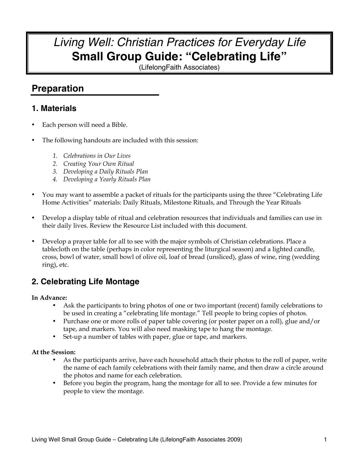# *Living Well: Christian Practices for Everyday Life* **Small Group Guide: "Celebrating Life"**

(LifelongFaith Associates)

# **Preparation**

### **1. Materials**

- Each person will need a Bible.
- The following handouts are included with this session:
	- *1. Celebrations in Our Lives*
	- *2. Creating Your Own Ritual*
	- *3. Developing a Daily Rituals Plan*
	- *4. Developing a Yearly Rituals Plan*
- You may want to assemble a packet of rituals for the participants using the three "Celebrating Life Home Activities" materials: Daily Rituals, Milestone Rituals, and Through the Year Rituals
- Develop a display table of ritual and celebration resources that individuals and families can use in their daily lives. Review the Resource List included with this document.
- Develop a prayer table for all to see with the major symbols of Christian celebrations. Place a tablecloth on the table (perhaps in color representing the liturgical season) and a lighted candle, cross, bowl of water, small bowl of olive oil, loaf of bread (unsliced), glass of wine, ring (wedding ring), etc.

# **2. Celebrating Life Montage**

#### **In Advance:**

- Ask the participants to bring photos of one or two important (recent) family celebrations to be used in creating a "celebrating life montage." Tell people to bring copies of photos.
- Purchase one or more rolls of paper table covering (or poster paper on a roll), glue and/or tape, and markers. You will also need masking tape to hang the montage.
- Set-up a number of tables with paper, glue or tape, and markers.

#### **At the Session:**

- As the participants arrive, have each household attach their photos to the roll of paper, write the name of each family celebrations with their family name, and then draw a circle around the photos and name for each celebration.
- Before you begin the program, hang the montage for all to see. Provide a few minutes for people to view the montage.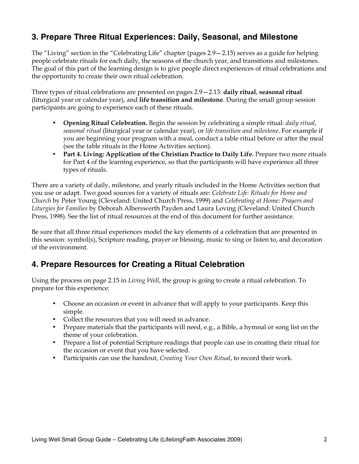# **3. Prepare Three Ritual Experiences: Daily, Seasonal, and Milestone**

The "Living" section in the "Celebrating Life" chapter (pages 2.9—2.15) serves as a guide for helping people celebrate rituals for each daily, the seasons of the church year, and transitions and milestones. The goal of this part of the learning design is to give people direct experiences of ritual celebrations and the opportunity to create their own ritual celebration.

Three types of ritual celebrations are presented on pages 2.9—2.13: **daily ritual**, **seasonal ritual** (liturgical year or calendar year), and **life transition and milestone**. During the small group session participants are going to experience each of these rituals.

- **Opening Ritual Celebration.** Begin the session by celebrating a simple ritual: *daily ritual*, *seasonal ritual* (liturgical year or calendar year), or *life transition and milestone*. For example if you are beginning your program with a meal, conduct a table ritual before or after the meal (see the table rituals in the Home Activities section).
- **Part 4. Living: Application of the Christian Practice to Daily Life.** Prepare two more rituals for Part 4 of the learning experience, so that the participants will have experience all three types of rituals.

There are a variety of daily, milestone, and yearly rituals included in the Home Activities section that you use or adapt. Two good sources for a variety of rituals are: *Celebrate Life: Rituals for Home and Church* by Peter Young (Cleveland: United Church Press, 1999) and *Celebrating at Home: Prayers and Liturgies for Families* by Deborah Alberswerth Payden and Laura Loving (Cleveland: United Church Press, 1998). See the list of ritual resources at the end of this document for further assistance.

Be sure that all three ritual experiences model the key elements of a celebration that are presented in this session: symbol(s), Scripture reading, prayer or blessing, music to sing or listen to, and decoration of the environment.

### **4. Prepare Resources for Creating a Ritual Celebration**

Using the process on page 2.15 in *Living Well*, the group is going to create a ritual celebration. To prepare for this experience:

- Choose an occasion or event in advance that will apply to your participants. Keep this simple.
- Collect the resources that you will need in advance.
- Prepare materials that the participants will need, e.g., a Bible, a hymnal or song list on the theme of your celebration.
- Prepare a list of potential Scripture readings that people can use in creating their ritual for the occasion or event that you have selected.
- Participants can use the handout, *Creating Your Own Ritual*, to record their work.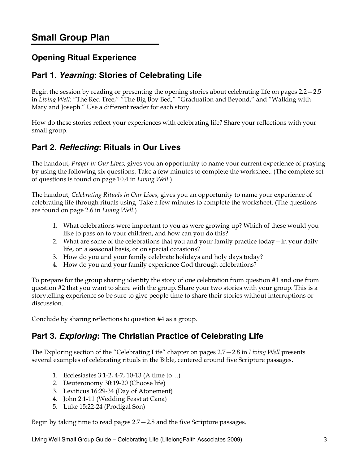# **Small Group Plan**

## **Opening Ritual Experience**

# **Part 1.** *Yearning***: Stories of Celebrating Life**

Begin the session by reading or presenting the opening stories about celebrating life on pages 2.2—2.5 in *Living Well*: "The Red Tree," "The Big Boy Bed," "Graduation and Beyond," and "Walking with Mary and Joseph." Use a different reader for each story.

How do these stories reflect your experiences with celebrating life? Share your reflections with your small group.

# **Part 2.** *Reflecting***: Rituals in Our Lives**

The handout, *Prayer in Our Lives*, gives you an opportunity to name your current experience of praying by using the following six questions. Take a few minutes to complete the worksheet. (The complete set of questions is found on page 10.4 in *Living Well*.)

The handout, *Celebrating Rituals in Our Lives*, gives you an opportunity to name your experience of celebrating life through rituals using Take a few minutes to complete the worksheet. (The questions are found on page 2.6 in *Living Well*.)

- 1. What celebrations were important to you as were growing up? Which of these would you like to pass on to your children, and how can you do this?
- 2. What are some of the celebrations that you and your family practice today—in your daily life, on a seasonal basis, or on special occasions?
- 3. How do you and your family celebrate holidays and holy days today?
- 4. How do you and your family experience God through celebrations?

To prepare for the group sharing identity the story of one celebration from question #1 and one from question #2 that you want to share with the group. Share your two stories with your group. This is a storytelling experience so be sure to give people time to share their stories without interruptions or discussion.

Conclude by sharing reflections to question #4 as a group.

# **Part 3.** *Exploring***: The Christian Practice of Celebrating Life**

The Exploring section of the "Celebrating Life" chapter on pages 2.7—2.8 in *Living Well* presents several examples of celebrating rituals in the Bible, centered around five Scripture passages.

- 1. Ecclesiastes 3:1-2, 4-7, 10-13 (A time to…)
- 2. Deuteronomy 30:19-20 (Choose life)
- 3. Leviticus 16:29-34 (Day of Atonement)
- 4. John 2:1-11 (Wedding Feast at Cana)
- 5. Luke 15:22-24 (Prodigal Son)

Begin by taking time to read pages 2.7—2.8 and the five Scripture passages.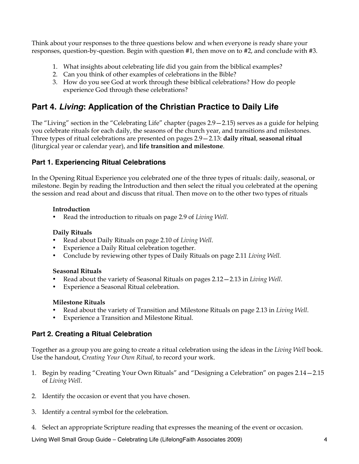Think about your responses to the three questions below and when everyone is ready share your responses, question-by-question. Begin with question #1, then move on to #2, and conclude with #3.

- 1. What insights about celebrating life did you gain from the biblical examples?
- 2. Can you think of other examples of celebrations in the Bible?
- 3. How do you see God at work through these biblical celebrations? How do people experience God through these celebrations?

# **Part 4.** *Living***: Application of the Christian Practice to Daily Life**

The "Living" section in the "Celebrating Life" chapter (pages  $2.9 - 2.15$ ) serves as a guide for helping you celebrate rituals for each daily, the seasons of the church year, and transitions and milestones. Three types of ritual celebrations are presented on pages 2.9—2.13: **daily ritual**, **seasonal ritual** (liturgical year or calendar year), and **life transition and milestone**.

### **Part 1. Experiencing Ritual Celebrations**

In the Opening Ritual Experience you celebrated one of the three types of rituals: daily, seasonal, or milestone. Begin by reading the Introduction and then select the ritual you celebrated at the opening the session and read about and discuss that ritual. Then move on to the other two types of rituals

#### **Introduction**

• Read the introduction to rituals on page 2.9 of *Living Well*.

#### **Daily Rituals**

- Read about Daily Rituals on page 2.10 of *Living Well*.
- Experience a Daily Ritual celebration together.
- Conclude by reviewing other types of Daily Rituals on page 2.11 *Living Well.*

#### **Seasonal Rituals**

- Read about the variety of Seasonal Rituals on pages 2.12—2.13 in *Living Well*.
- Experience a Seasonal Ritual celebration.

#### **Milestone Rituals**

- Read about the variety of Transition and Milestone Rituals on page 2.13 in *Living Well*.
- Experience a Transition and Milestone Ritual.

#### **Part 2. Creating a Ritual Celebration**

Together as a group you are going to create a ritual celebration using the ideas in the *Living Well* book. Use the handout, *Creating Your Own Ritual*, to record your work.

- 1. Begin by reading "Creating Your Own Rituals" and "Designing a Celebration" on pages 2.14—2.15 of *Living Well*.
- 2. Identify the occasion or event that you have chosen.
- 3. Identify a central symbol for the celebration.
- 4. Select an appropriate Scripture reading that expresses the meaning of the event or occasion.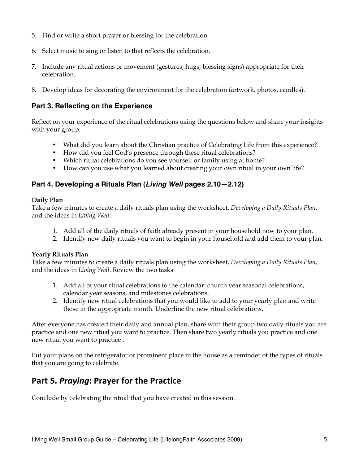- 5. Find or write a short prayer or blessing for the celebration.
- 6. Select music to sing or listen to that reflects the celebration.
- 7. Include any ritual actions or movement (gestures, hugs, blessing signs) appropriate for their celebration.
- 8. Develop ideas for decorating the environment for the celebration (artwork, photos, candles).

#### **Part 3. Reflecting on the Experience**

Reflect on your experience of the ritual celebrations using the questions below and share your insights with your group.

- What did you learn about the Christian practice of Celebrating Life from this experience?
- How did you feel God's presence through these ritual celebrations?
- Which ritual celebrations do you see yourself or family using at home?
- How can you use what you learned about creating your own ritual in your own life?

#### **Part 4. Developing a Rituals Plan (***Living Well* **pages 2.10—2.12)**

#### **Daily Plan**

Take a few minutes to create a daily rituals plan using the worksheet, *Developing a Daily Rituals Plan*, and the ideas in *Living Well*:

- 1. Add all of the daily rituals of faith already present in your household now to your plan.
- 2. Identify new daily rituals you want to begin in your household and add them to your plan.

#### **Yearly Rituals Plan**

Take a few minutes to create a daily rituals plan using the worksheet, *Developing a Daily Rituals Plan*, and the ideas in *Living Well*. Review the two tasks:

- 1. Add all of your ritual celebrations to the calendar: church year seasonal celebrations, calendar year seasons, and milestones celebrations.
- 2. Identify new ritual celebrations that you would like to add to your yearly plan and write those in the appropriate month. Underline the new ritual celebrations.

After everyone has created their daily and annual plan, share with their group two daily rituals you are practice and one new ritual you want to practice. Then share two yearly rituals you practice and one new ritual you want to practice .

Put your plans on the refrigerator or prominent place in the house as a reminder of the types of rituals that you are going to celebrate.

### Part 5. Praying: Prayer for the Practice

Conclude by celebrating the ritual that you have created in this session.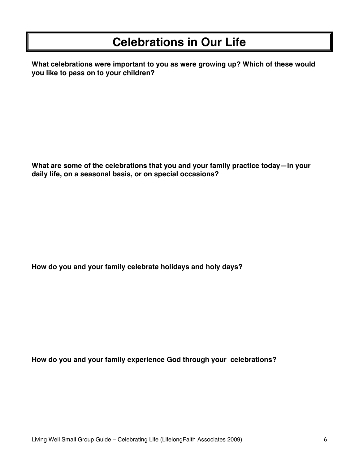# **Celebrations in Our Life**

**What celebrations were important to you as were growing up? Which of these would you like to pass on to your children?**

**What are some of the celebrations that you and your family practice today—in your daily life, on a seasonal basis, or on special occasions?** 

**How do you and your family celebrate holidays and holy days?** 

**How do you and your family experience God through your celebrations?**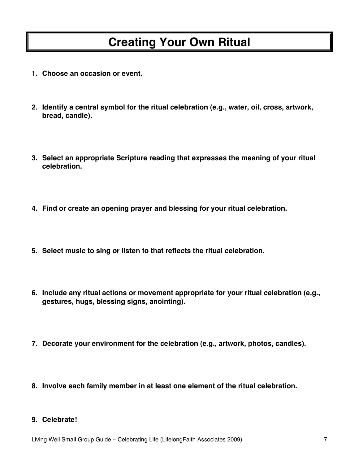# **Creating Your Own Ritual**

- **1. Choose an occasion or event.**
- **2. Identify a central symbol for the ritual celebration (e.g., water, oil, cross, artwork, bread, candle).**
- **3. Select an appropriate Scripture reading that expresses the meaning of your ritual celebration.**
- **4. Find or create an opening prayer and blessing for your ritual celebration.**
- **5. Select music to sing or listen to that reflects the ritual celebration.**
- **6. Include any ritual actions or movement appropriate for your ritual celebration (e.g., gestures, hugs, blessing signs, anointing).**
- **7. Decorate your environment for the celebration (e.g., artwork, photos, candles).**
- **8. Involve each family member in at least one element of the ritual celebration.**

#### **9. Celebrate!**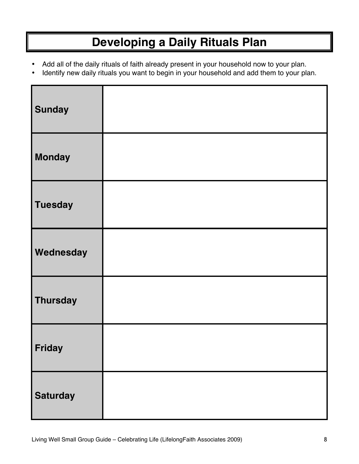# **Developing a Daily Rituals Plan**

- Add all of the daily rituals of faith already present in your household now to your plan.
- Identify new daily rituals you want to begin in your household and add them to your plan.

| <b>Sunday</b>   |  |
|-----------------|--|
| <b>Monday</b>   |  |
| <b>Tuesday</b>  |  |
| Wednesday       |  |
| <b>Thursday</b> |  |
| Friday          |  |
| <b>Saturday</b> |  |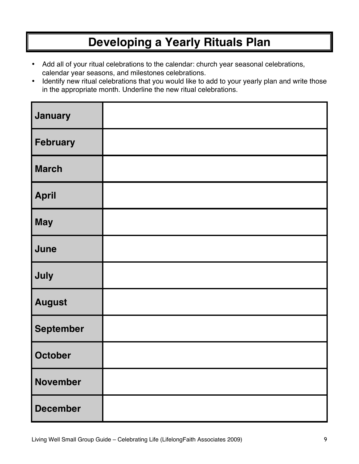# **Developing a Yearly Rituals Plan**

- Add all of your ritual celebrations to the calendar: church year seasonal celebrations, calendar year seasons, and milestones celebrations.
- Identify new ritual celebrations that you would like to add to your yearly plan and write those in the appropriate month. Underline the new ritual celebrations.

| <b>January</b>   |  |
|------------------|--|
| <b>February</b>  |  |
| <b>March</b>     |  |
| <b>April</b>     |  |
| <b>May</b>       |  |
| June             |  |
| July             |  |
| <b>August</b>    |  |
| <b>September</b> |  |
| <b>October</b>   |  |
| <b>November</b>  |  |
| <b>December</b>  |  |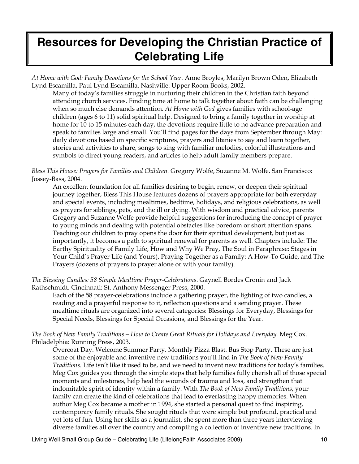# **Resources for Developing the Christian Practice of Celebrating Life**

*At Home with God: Family Devotions for the School Year.* Anne Broyles, Marilyn Brown Oden, Elizabeth Lynd Escamilla, Paul Lynd Escamilla. Nashville: Upper Room Books, 2002.

Many of today's families struggle in nurturing their children in the Christian faith beyond attending church services. Finding time at home to talk together about faith can be challenging when so much else demands attention. *At Home with God* gives families with school-age children (ages 6 to 11) solid spiritual help. Designed to bring a family together in worship at home for 10 to 15 minutes each day, the devotions require little to no advance preparation and speak to families large and small. You'll find pages for the days from September through May: daily devotions based on specific scriptures, prayers and litanies to say and learn together, stories and activities to share, songs to sing with familiar melodies, colorful illustrations and symbols to direct young readers, and articles to help adult family members prepare.

*Bless This House: Prayers for Families and Children.* Gregory Wolfe, Suzanne M. Wolfe. San Francisco: Jossey-Bass, 2004.

An excellent foundation for all families desiring to begin, renew, or deepen their spiritual journey together, Bless This House features dozens of prayers appropriate for both everyday and special events, including mealtimes, bedtime, holidays, and religious celebrations, as well as prayers for siblings, pets, and the ill or dying. With wisdom and practical advice, parents Gregory and Suzanne Wolfe provide helpful suggestions for introducing the concept of prayer to young minds and dealing with potential obstacles like boredom or short attention spans. Teaching our children to pray opens the door for their spiritual development, but just as importantly, it becomes a path to spiritual renewal for parents as well. Chapters include: The Earthy Spirituality of Family Life, How and Why We Pray, The Soul in Paraphrase: Stages in Your Child's Prayer Life (and Yours), Praying Together as a Family: A How-To Guide, and The Prayers (dozens of prayers to prayer alone or with your family).

*The Blessing Candles: 58 Simple Mealtime Prayer-Celebrations*. Gaynell Bordes Cronin and Jack Rathschmidt. Cincinnati: St. Anthony Messenger Press, 2000.

Each of the 58 prayer-celebrations include a gathering prayer, the lighting of two candles, a reading and a prayerful response to it, reflection questions and a sending prayer. These mealtime rituals are organized into several categories: Blessings for Everyday, Blessings for Special Needs, Blessings for Special Occasions, and Blessings for the Year.

#### *The Book of New Family Traditions—How to Create Great Rituals for Holidays and Everyday.* Meg Cox. Philadelphia: Running Press, 2003.

Overcoat Day. Welcome Summer Party. Monthly Pizza Blast. Bus Stop Party. These are just some of the enjoyable and inventive new traditions you'll find in *The Book of New Family Traditions*. Life isn't like it used to be, and we need to invent new traditions for today's families. Meg Cox guides you through the simple steps that help families fully cherish all of those special moments and milestones, help heal the wounds of trauma and loss, and strengthen that indomitable spirit of identity within a family. With *The Book of New Family Traditions*, your family can create the kind of celebrations that lead to everlasting happy memories. When author Meg Cox became a mother in 1994, she started a personal quest to find inspiring, contemporary family rituals. She sought rituals that were simple but profound, practical and yet lots of fun. Using her skills as a journalist, she spent more than three years interviewing diverse families all over the country and compiling a collection of inventive new traditions. In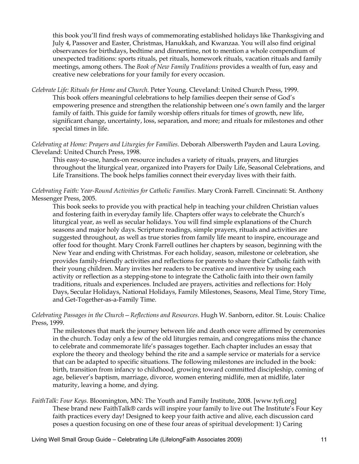this book you'll find fresh ways of commemorating established holidays like Thanksgiving and July 4, Passover and Easter, Christmas, Hanukkah, and Kwanzaa. You will also find original observances for birthdays, bedtime and dinnertime, not to mention a whole compendium of unexpected traditions: sports rituals, pet rituals, homework rituals, vacation rituals and family meetings, among others. The *Book of New Family Traditions* provides a wealth of fun, easy and creative new celebrations for your family for every occasion.

*Celebrate Life: Rituals for Home and Church.* Peter Young. Cleveland: United Church Press, 1999. This book offers meaningful celebrations to help families deepen their sense of God's empowering presence and strengthen the relationship between one's own family and the larger family of faith. This guide for family worship offers rituals for times of growth, new life, significant change, uncertainty, loss, separation, and more; and rituals for milestones and other special times in life.

*Celebrating at Home: Prayers and Liturgies for Families.* Deborah Alberswerth Payden and Laura Loving. Cleveland: United Church Press, 1998.

This easy-to-use, hands-on resource includes a variety of rituals, prayers, and liturgies throughout the liturgical year, organized into Prayers for Daily Life, Seasonal Celebrations, and Life Transitions. The book helps families connect their everyday lives with their faith.

*Celebrating Faith: Year-Round Activities for Catholic Families.* Mary Cronk Farrell. Cincinnati: St. Anthony Messenger Press, 2005.

This book seeks to provide you with practical help in teaching your children Christian values and fostering faith in everyday family life. Chapters offer ways to celebrate the Church's liturgical year, as well as secular holidays. You will find simple explanations of the Church seasons and major holy days. Scripture readings, simple prayers, rituals and activities are suggested throughout, as well as true stories from family life meant to inspire, encourage and offer food for thought. Mary Cronk Farrell outlines her chapters by season, beginning with the New Year and ending with Christmas. For each holiday, season, milestone or celebration, she provides family-friendly activities and reflections for parents to share their Catholic faith with their young children. Mary invites her readers to be creative and inventive by using each activity or reflection as a stepping-stone to integrate the Catholic faith into their own family traditions, rituals and experiences. Included are prayers, activities and reflections for: Holy Days, Secular Holidays, National Holidays, Family Milestones, Seasons, Meal Time, Story Time, and Get-Together-as-a-Family Time.

*Celebrating Passages in the Church—Reflections and Resources*. Hugh W. Sanborn, editor. St. Louis: Chalice Press, 1999.

The milestones that mark the journey between life and death once were affirmed by ceremonies in the church. Today only a few of the old liturgies remain, and congregations miss the chance to celebrate and commemorate life's passages together. Each chapter includes an essay that explore the theory and theology behind the rite and a sample service or materials for a service that can be adapted to specific situations. The following milestones are included in the book: birth, transition from infancy to childhood, growing toward committed discipleship, coming of age, believer's baptism, marriage, divorce, women entering midlife, men at midlife, later maturity, leaving a home, and dying.

*FaithTalk: Four Keys.* Bloomington, MN: The Youth and Family Institute, 2008. [www.tyfi.org] These brand new FaithTalk® cards will inspire your family to live out The Institute's Four Key faith practices every day! Designed to keep your faith active and alive, each discussion card poses a question focusing on one of these four areas of spiritual development: 1) Caring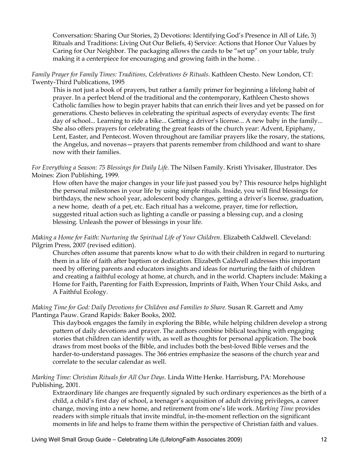Conversation: Sharing Our Stories, 2) Devotions: Identifying God's Presence in All of Life, 3) Rituals and Traditions: Living Out Our Beliefs, 4) Service: Actions that Honor Our Values by Caring for Our Neighbor. The packaging allows the cards to be "set up" on your table, truly making it a centerpiece for encouraging and growing faith in the home. .

*Family Prayer for Family Times: Traditions, Celebrations & Rituals*. Kathleen Chesto. New London, CT: Twenty-Third Publications, 1995

This is not just a book of prayers, but rather a family primer for beginning a lifelong habit of prayer. In a perfect blend of the traditional and the contemporary, Kathleen Chesto shows Catholic families how to begin prayer habits that can enrich their lives and yet be passed on for generations. Chesto believes in celebrating the spiritual aspects of everyday events: The first day of school... Learning to ride a bike... Getting a driver's license... A new baby in the family... She also offers prayers for celebrating the great feasts of the church year: Advent, Epiphany, Lent, Easter, and Pentecost. Woven throughout are familiar prayers like the rosary, the stations, the Angelus, and novenas—prayers that parents remember from childhood and want to share now with their families.

*For Everything a Season: 75 Blessings for Daily Life.* The Nilsen Family. Kristi Ylvisaker, Illustrator. Des Moines: Zion Publishing, 1999.

How often have the major changes in your life just passed you by? This resource helps highlight the personal milestones in your life by using simple rituals. Inside, you will find blessings for birthdays, the new school year, adolescent body changes, getting a driver's license, graduation, a new home, death of a pet, etc. Each ritual has a welcome, prayer, time for reflection, suggested ritual action such as lighting a candle or passing a blessing cup, and a closing blessing. Unleash the power of blessings in your life.

*Making a Home for Faith: Nurturing the Spiritual Life of Your Children*. Elizabeth Caldwell. Cleveland: Pilgrim Press, 2007 (revised edition).

Churches often assume that parents know what to do with their children in regard to nurturing them in a life of faith after baptism or dedication. Elizabeth Caldwell addresses this important need by offering parents and educators insights and ideas for nurturing the faith of children and creating a faithful ecology at home, at church, and in the world. Chapters include: Making a Home for Faith, Parenting for Faith Expression, Imprints of Faith, When Your Child Asks, and A Faithful Ecology.

*Making Time for God: Daily Devotions for Children and Families to Share.* Susan R. Garrett and Amy Plantinga Pauw. Grand Rapids: Baker Books, 2002.

This daybook engages the family in exploring the Bible, while helping children develop a strong pattern of daily devotions and prayer. The authors combine biblical teaching with engaging stories that children can identify with, as well as thoughts for personal application. The book draws from most books of the Bible, and includes both the best-loved Bible verses and the harder-to-understand passages. The 366 entries emphasize the seasons of the church year and correlate to the secular calendar as well.

*Marking Time: Christian Rituals for All Our Days*. Linda Witte Henke. Harrisburg, PA: Morehouse Publishing, 2001.

Extraordinary life changes are frequently signaled by such ordinary experiences as the birth of a child, a child's first day of school, a teenager's acquisition of adult driving privileges, a career change, moving into a new home, and retirement from one's life work. *Marking Time* provides readers with simple rituals that invite mindful, in-the-moment reflection on the significant moments in life and helps to frame them within the perspective of Christian faith and values.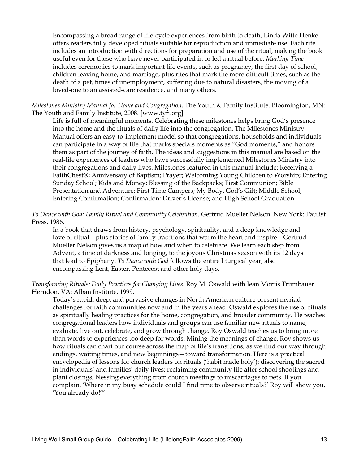Encompassing a broad range of life-cycle experiences from birth to death, Linda Witte Henke offers readers fully developed rituals suitable for reproduction and immediate use. Each rite includes an introduction with directions for preparation and use of the ritual, making the book useful even for those who have never participated in or led a ritual before. *Marking Time* includes ceremonies to mark important life events, such as pregnancy, the first day of school, children leaving home, and marriage, plus rites that mark the more difficult times, such as the death of a pet, times of unemployment, suffering due to natural disasters, the moving of a loved-one to an assisted-care residence, and many others.

*Milestones Ministry Manual for Home and Congregation.* The Youth & Family Institute. Bloomington, MN: The Youth and Family Institute, 2008. [www.tyfi.org]

Life is full of meaningful moments. Celebrating these milestones helps bring God's presence into the home and the rituals of daily life into the congregation. The Milestones Ministry Manual offers an easy-to-implement model so that congregations, households and individuals can participate in a way of life that marks specials moments as "God moments," and honors them as part of the journey of faith. The ideas and suggestions in this manual are based on the real-life experiences of leaders who have successfully implemented Milestones Ministry into their congregations and daily lives. Milestones featured in this manual include: Receiving a FaithChest®; Anniversary of Baptism; Prayer; Welcoming Young Children to Worship; Entering Sunday School; Kids and Money; Blessing of the Backpacks; First Communion; Bible Presentation and Adventure; First Time Campers; My Body, God's Gift; Middle School; Entering Confirmation; Confirmation; Driver's License; and High School Graduation.

*To Dance with God: Family Ritual and Community Celebration*. Gertrud Mueller Nelson. New York: Paulist Press, 1986.

In a book that draws from history, psychology, spirituality, and a deep knowledge and love of ritual—plus stories of family traditions that warm the heart and inspire—Gertrud Mueller Nelson gives us a map of how and when to celebrate. We learn each step from Advent, a time of darkness and longing, to the joyous Christmas season with its 12 days that lead to Epiphany. *To Dance with God* follows the entire liturgical year, also encompassing Lent, Easter, Pentecost and other holy days.

*Transforming Rituals: Daily Practices for Changing Lives.* Roy M. Oswald with Jean Morris Trumbauer. Herndon, VA: Alban Institute, 1999.

Today's rapid, deep, and pervasive changes in North American culture present myriad challenges for faith communities now and in the years ahead. Oswald explores the use of rituals as spiritually healing practices for the home, congregation, and broader community. He teaches congregational leaders how individuals and groups can use familiar new rituals to name, evaluate, live out, celebrate, and grow through change. Roy Oswald teaches us to bring more than words to experiences too deep for words. Mining the meanings of change, Roy shows us how rituals can chart our course across the map of life's transitions, as we find our way through endings, waiting times, and new beginnings—toward transformation. Here is a practical encyclopedia of lessons for church leaders on rituals ('habit made holy'): discovering the sacred in individuals' and families' daily lives; reclaiming community life after school shootings and plant closings; blessing everything from church meetings to miscarriages to pets. If you complain, 'Where in my busy schedule could I find time to observe rituals?' Roy will show you, 'You already do!'"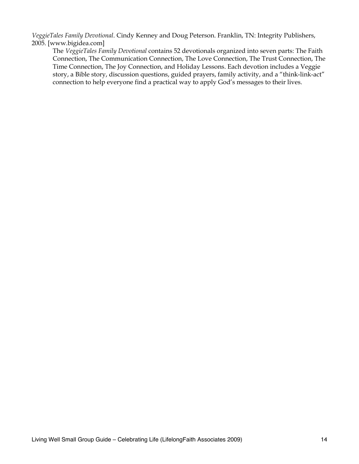*VeggieTales Family Devotional*. Cindy Kenney and Doug Peterson. Franklin, TN: Integrity Publishers, 2005. [www.bigidea.com]

The *VeggieTales Family Devotional* contains 52 devotionals organized into seven parts: The Faith Connection, The Communication Connection, The Love Connection, The Trust Connection, The Time Connection, The Joy Connection, and Holiday Lessons. Each devotion includes a Veggie story, a Bible story, discussion questions, guided prayers, family activity, and a "think-link-act" connection to help everyone find a practical way to apply God's messages to their lives.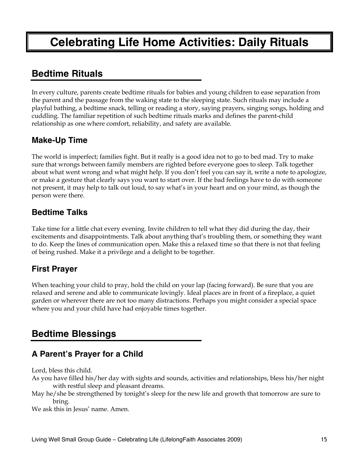# **Celebrating Life Home Activities: Daily Rituals**

# **Bedtime Rituals**

In every culture, parents create bedtime rituals for babies and young children to ease separation from the parent and the passage from the waking state to the sleeping state. Such rituals may include a playful bathing, a bedtime snack, telling or reading a story, saying prayers, singing songs, holding and cuddling. The familiar repetition of such bedtime rituals marks and defines the parent-child relationship as one where comfort, reliability, and safety are available.

# **Make-Up Time**

The world is imperfect; families fight. But it really is a good idea not to go to bed mad. Try to make sure that wrongs between family members are righted before everyone goes to sleep. Talk together about what went wrong and what might help. If you don't feel you can say it, write a note to apologize, or make a gesture that clearly says you want to start over. If the bad feelings have to do with someone not present, it may help to talk out loud, to say what's in your heart and on your mind, as though the person were there.

# **Bedtime Talks**

Take time for a little chat every evening. Invite children to tell what they did during the day, their excitements and disappointments. Talk about anything that's troubling them, or something they want to do. Keep the lines of communication open. Make this a relaxed time so that there is not that feeling of being rushed. Make it a privilege and a delight to be together.

## **First Prayer**

When teaching your child to pray, hold the child on your lap (facing forward). Be sure that you are relaxed and serene and able to communicate lovingly. Ideal places are in front of a fireplace, a quiet garden or wherever there are not too many distractions. Perhaps you might consider a special space where you and your child have had enjoyable times together.

# **Bedtime Blessings**

## **A Parent's Prayer for a Child**

Lord, bless this child.

As you have filled his/her day with sights and sounds, activities and relationships, bless his/her night with restful sleep and pleasant dreams.

May he/she be strengthened by tonight's sleep for the new life and growth that tomorrow are sure to bring.

We ask this in Jesus' name. Amen.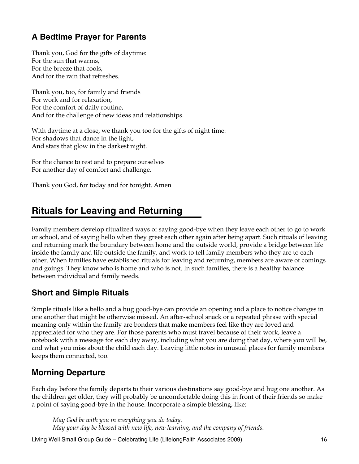# **A Bedtime Prayer for Parents**

Thank you, God for the gifts of daytime: For the sun that warms, For the breeze that cools, And for the rain that refreshes.

Thank you, too, for family and friends For work and for relaxation, For the comfort of daily routine, And for the challenge of new ideas and relationships.

With daytime at a close, we thank you too for the gifts of night time: For shadows that dance in the light, And stars that glow in the darkest night.

For the chance to rest and to prepare ourselves For another day of comfort and challenge.

Thank you God, for today and for tonight. Amen

# **Rituals for Leaving and Returning**

Family members develop ritualized ways of saying good-bye when they leave each other to go to work or school, and of saying hello when they greet each other again after being apart. Such rituals of leaving and returning mark the boundary between home and the outside world, provide a bridge between life inside the family and life outside the family, and work to tell family members who they are to each other. When families have established rituals for leaving and returning, members are aware of comings and goings. They know who is home and who is not. In such families, there is a healthy balance between individual and family needs.

### **Short and Simple Rituals**

Simple rituals like a hello and a hug good-bye can provide an opening and a place to notice changes in one another that might be otherwise missed. An after-school snack or a repeated phrase with special meaning only within the family are bonders that make members feel like they are loved and appreciated for who they are. For those parents who must travel because of their work, leave a notebook with a message for each day away, including what you are doing that day, where you will be, and what you miss about the child each day. Leaving little notes in unusual places for family members keeps them connected, too.

### **Morning Departure**

Each day before the family departs to their various destinations say good-bye and hug one another. As the children get older, they will probably be uncomfortable doing this in front of their friends so make a point of saying good-bye in the house. Incorporate a simple blessing, like:

*May God be with you in everything you do today. May your day be blessed with new life, new learning, and the company of friends.*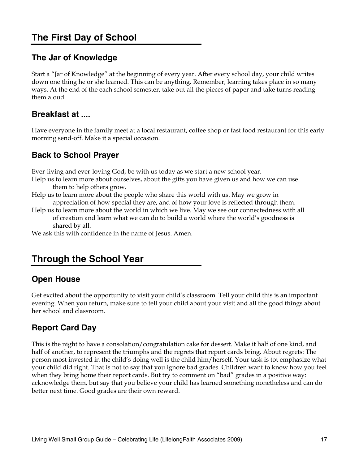# **The First Day of School**

### **The Jar of Knowledge**

Start a "Jar of Knowledge" at the beginning of every year. After every school day, your child writes down one thing he or she learned. This can be anything. Remember, learning takes place in so many ways. At the end of the each school semester, take out all the pieces of paper and take turns reading them aloud.

### **Breakfast at ....**

Have everyone in the family meet at a local restaurant, coffee shop or fast food restaurant for this early morning send-off. Make it a special occasion.

### **Back to School Prayer**

Ever-living and ever-loving God, be with us today as we start a new school year.

- Help us to learn more about ourselves, about the gifts you have given us and how we can use them to help others grow.
- Help us to learn more about the people who share this world with us. May we grow in appreciation of how special they are, and of how your love is reflected through them.
- Help us to learn more about the world in which we live. May we see our connectedness with all of creation and learn what we can do to build a world where the world's goodness is shared by all.

We ask this with confidence in the name of Jesus. Amen.

# **Through the School Year**

## **Open House**

Get excited about the opportunity to visit your child's classroom. Tell your child this is an important evening. When you return, make sure to tell your child about your visit and all the good things about her school and classroom.

## **Report Card Day**

This is the night to have a consolation/congratulation cake for dessert. Make it half of one kind, and half of another, to represent the triumphs and the regrets that report cards bring. About regrets: The person most invested in the child's doing well is the child him/herself. Your task is tot emphasize what your child did right. That is not to say that you ignore bad grades. Children want to know how you feel when they bring home their report cards. But try to comment on "bad" grades in a positive way: acknowledge them, but say that you believe your child has learned something nonetheless and can do better next time. Good grades are their own reward.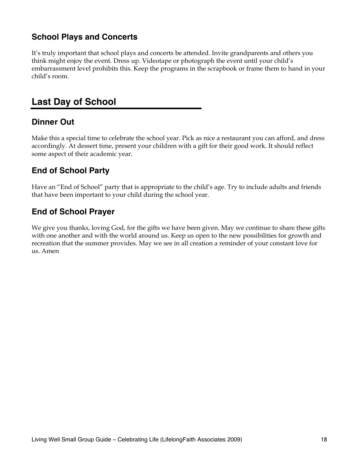# **School Plays and Concerts**

It's truly important that school plays and concerts be attended. Invite grandparents and others you think might enjoy the event. Dress up. Videotape or photograph the event until your child's embarrassment level prohibits this. Keep the programs in the scrapbook or frame them to hand in your child's room.

# **Last Day of School**

### **Dinner Out**

Make this a special time to celebrate the school year. Pick as nice a restaurant you can afford, and dress accordingly. At dessert time, present your children with a gift for their good work. It should reflect some aspect of their academic year.

### **End of School Party**

Have an "End of School" party that is appropriate to the child's age. Try to include adults and friends that have been important to your child during the school year.

### **End of School Prayer**

We give you thanks, loving God, for the gifts we have been given. May we continue to share these gifts with one another and with the world around us. Keep us open to the new possibilities for growth and recreation that the summer provides. May we see in all creation a reminder of your constant love for us. Amen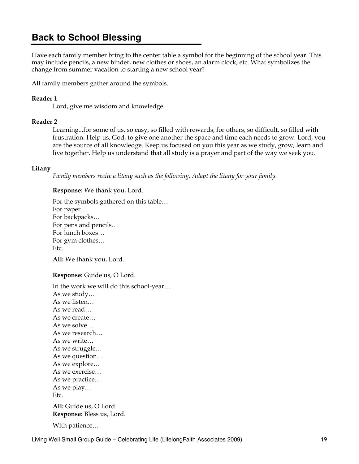# **Back to School Blessing**

Have each family member bring to the center table a symbol for the beginning of the school year. This may include pencils, a new binder, new clothes or shoes, an alarm clock, etc. What symbolizes the change from summer vacation to starting a new school year?

All family members gather around the symbols.

#### **Reader 1**

Lord, give me wisdom and knowledge.

#### **Reader 2**

Learning...for some of us, so easy, so filled with rewards, for others, so difficult, so filled with frustration. Help us, God, to give one another the space and time each needs to grow. Lord, you are the source of all knowledge. Keep us focused on you this year as we study, grow, learn and live together. Help us understand that all study is a prayer and part of the way we seek you.

#### **Litany**

*Family members recite a litany such as the following. Adapt the litany for your family.*

**Response:** We thank you, Lord.

For the symbols gathered on this table… For paper… For backpacks… For pens and pencils… For lunch boxes… For gym clothes… Etc.

**All:** We thank you, Lord.

**Response:** Guide us, O Lord.

In the work we will do this school-year… As we study… As we listen… As we read… As we create… As we solve… As we research… As we write… As we struggle… As we question… As we explore… As we exercise… As we practice… As we play… Etc. **All:** Guide us, O Lord.

**Response:** Bless us, Lord.

With patience…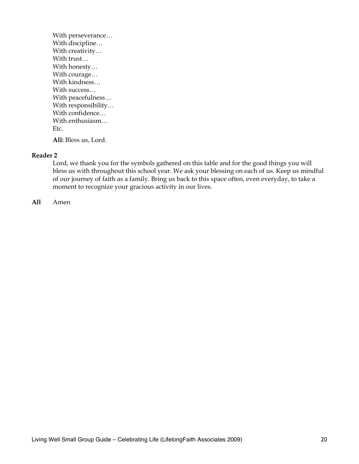With perseverance… With discipline… With creativity… With trust… With honesty… With courage… With kindness… With success… With peacefulness… With responsibility… With confidence... With enthusiasm… Etc. **All:** Bless us, Lord.

### **Reader 2**

Lord, we thank you for the symbols gathered on this table and for the good things you will bless us with throughout this school year. We ask your blessing on each of us. Keep us mindful of our journey of faith as a family. Bring us back to this space often, even everyday, to take a moment to recognize your gracious activity in our lives.

#### **All** Amen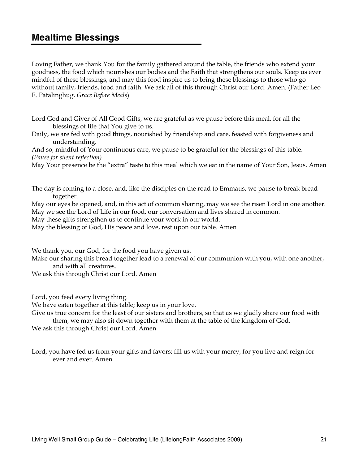# **Mealtime Blessings**

Loving Father, we thank You for the family gathered around the table, the friends who extend your goodness, the food which nourishes our bodies and the Faith that strengthens our souls. Keep us ever mindful of these blessings, and may this food inspire us to bring these blessings to those who go without family, friends, food and faith. We ask all of this through Christ our Lord. Amen. (Father Leo E. Patalinghug, *Grace Before Meals*)

Lord God and Giver of All Good Gifts, we are grateful as we pause before this meal, for all the blessings of life that You give to us.

Daily, we are fed with good things, nourished by friendship and care, feasted with forgiveness and understanding.

And so, mindful of Your continuous care, we pause to be grateful for the blessings of this table. *(Pause for silent reflection)*

May Your presence be the "extra" taste to this meal which we eat in the name of Your Son, Jesus. Amen

The day is coming to a close, and, like the disciples on the road to Emmaus, we pause to break bread together.

May our eyes be opened, and, in this act of common sharing, may we see the risen Lord in one another. May we see the Lord of Life in our food, our conversation and lives shared in common.

May these gifts strengthen us to continue your work in our world.

May the blessing of God, His peace and love, rest upon our table. Amen

We thank you, our God, for the food you have given us.

Make our sharing this bread together lead to a renewal of our communion with you, with one another, and with all creatures.

We ask this through Christ our Lord. Amen

Lord, you feed every living thing.

We have eaten together at this table; keep us in your love.

Give us true concern for the least of our sisters and brothers, so that as we gladly share our food with them, we may also sit down together with them at the table of the kingdom of God.

We ask this through Christ our Lord. Amen

Lord, you have fed us from your gifts and favors; fill us with your mercy, for you live and reign for ever and ever. Amen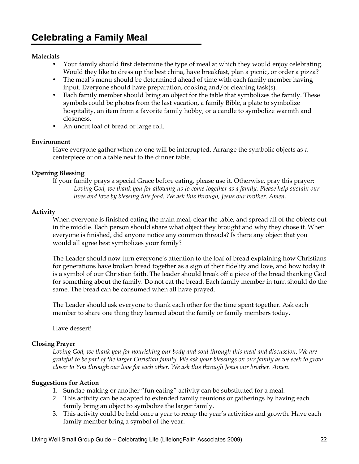# **Celebrating a Family Meal**

#### **Materials**

- Your family should first determine the type of meal at which they would enjoy celebrating. Would they like to dress up the best china, have breakfast, plan a picnic, or order a pizza?
- The meal's menu should be determined ahead of time with each family member having input. Everyone should have preparation, cooking and/or cleaning task(s).
- Each family member should bring an object for the table that symbolizes the family. These symbols could be photos from the last vacation, a family Bible, a plate to symbolize hospitality, an item from a favorite family hobby, or a candle to symbolize warmth and closeness.
- An uncut loaf of bread or large roll.

#### **Environment**

Have everyone gather when no one will be interrupted. Arrange the symbolic objects as a centerpiece or on a table next to the dinner table.

#### **Opening Blessing**

If your family prays a special Grace before eating, please use it. Otherwise, pray this prayer: *Loving God, we thank you for allowing us to come together as a family. Please help sustain our lives and love by blessing this food. We ask this through, Jesus our brother. Amen.*

#### **Activity**

When everyone is finished eating the main meal, clear the table, and spread all of the objects out in the middle. Each person should share what object they brought and why they chose it. When everyone is finished, did anyone notice any common threads? Is there any object that you would all agree best symbolizes your family?

The Leader should now turn everyone's attention to the loaf of bread explaining how Christians for generations have broken bread together as a sign of their fidelity and love, and how today it is a symbol of our Christian faith. The leader should break off a piece of the bread thanking God for something about the family. Do not eat the bread. Each family member in turn should do the same. The bread can be consumed when all have prayed.

The Leader should ask everyone to thank each other for the time spent together. Ask each member to share one thing they learned about the family or family members today.

Have dessert!

#### **Closing Prayer**

*Loving God, we thank you for nourishing our body and soul through this meal and discussion. We are grateful to be part of the larger Christian family. We ask your blessings on our family as we seek to grow closer to You through our love for each other. We ask this through Jesus our brother. Amen.*

#### **Suggestions for Action**

- 1. Sundae-making or another "fun eating" activity can be substituted for a meal.
- 2. This activity can be adapted to extended family reunions or gatherings by having each family bring an object to symbolize the larger family.
- 3. This activity could be held once a year to recap the year's activities and growth. Have each family member bring a symbol of the year.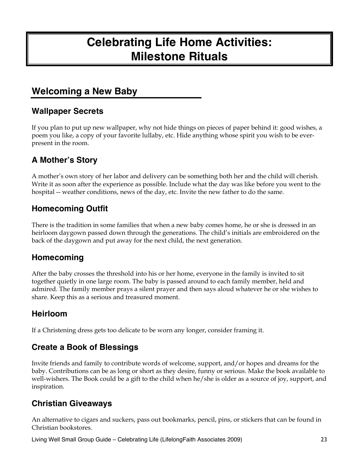# **Celebrating Life Home Activities: Milestone Rituals**

# **Welcoming a New Baby**

## **Wallpaper Secrets**

If you plan to put up new wallpaper, why not hide things on pieces of paper behind it: good wishes, a poem you like, a copy of your favorite lullaby, etc. Hide anything whose spirit you wish to be everpresent in the room.

# **A Mother's Story**

A mother's own story of her labor and delivery can be something both her and the child will cherish. Write it as soon after the experience as possible. Include what the day was like before you went to the hospital -- weather conditions, news of the day, etc. Invite the new father to do the same.

## **Homecoming Outfit**

There is the tradition in some families that when a new baby comes home, he or she is dressed in an heirloom daygown passed down through the generations. The child's initials are embroidered on the back of the daygown and put away for the next child, the next generation.

### **Homecoming**

After the baby crosses the threshold into his or her home, everyone in the family is invited to sit together quietly in one large room. The baby is passed around to each family member, held and admired. The family member prays a silent prayer and then says aloud whatever he or she wishes to share. Keep this as a serious and treasured moment.

### **Heirloom**

If a Christening dress gets too delicate to be worn any longer, consider framing it.

## **Create a Book of Blessings**

Invite friends and family to contribute words of welcome, support, and/or hopes and dreams for the baby. Contributions can be as long or short as they desire, funny or serious. Make the book available to well-wishers. The Book could be a gift to the child when he/she is older as a source of joy, support, and inspiration.

## **Christian Giveaways**

An alternative to cigars and suckers, pass out bookmarks, pencil, pins, or stickers that can be found in Christian bookstores.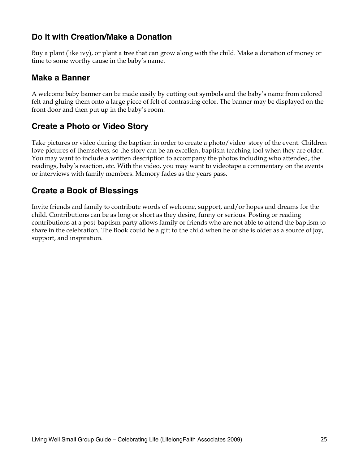## **Do it with Creation/Make a Donation**

Buy a plant (like ivy), or plant a tree that can grow along with the child. Make a donation of money or time to some worthy cause in the baby's name.

### **Make a Banner**

A welcome baby banner can be made easily by cutting out symbols and the baby's name from colored felt and gluing them onto a large piece of felt of contrasting color. The banner may be displayed on the front door and then put up in the baby's room.

### **Create a Photo or Video Story**

Take pictures or video during the baptism in order to create a photo/video story of the event. Children love pictures of themselves, so the story can be an excellent baptism teaching tool when they are older. You may want to include a written description to accompany the photos including who attended, the readings, baby's reaction, etc. With the video, you may want to videotape a commentary on the events or interviews with family members. Memory fades as the years pass.

## **Create a Book of Blessings**

Invite friends and family to contribute words of welcome, support, and/or hopes and dreams for the child. Contributions can be as long or short as they desire, funny or serious. Posting or reading contributions at a post-baptism party allows family or friends who are not able to attend the baptism to share in the celebration. The Book could be a gift to the child when he or she is older as a source of joy, support, and inspiration.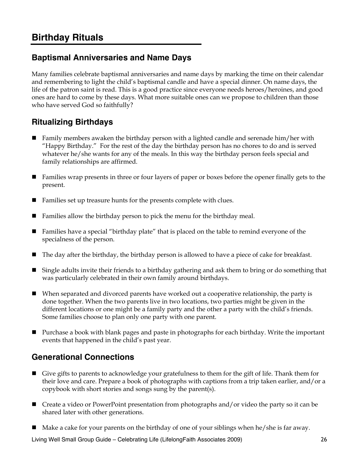# **Baptismal Anniversaries and Name Days**

Many families celebrate baptismal anniversaries and name days by marking the time on their calendar and remembering to light the child's baptismal candle and have a special dinner. On name days, the life of the patron saint is read. This is a good practice since everyone needs heroes/heroines, and good ones are hard to come by these days. What more suitable ones can we propose to children than those who have served God so faithfully?

# **Ritualizing Birthdays**

- Family members awaken the birthday person with a lighted candle and serenade him/her with "Happy Birthday." For the rest of the day the birthday person has no chores to do and is served whatever he/she wants for any of the meals. In this way the birthday person feels special and family relationships are affirmed.
- Families wrap presents in three or four layers of paper or boxes before the opener finally gets to the present.
- Families set up treasure hunts for the presents complete with clues.
- Families allow the birthday person to pick the menu for the birthday meal.
- Families have a special "birthday plate" that is placed on the table to remind everyone of the specialness of the person.
- The day after the birthday, the birthday person is allowed to have a piece of cake for breakfast.
- Single adults invite their friends to a birthday gathering and ask them to bring or do something that was particularly celebrated in their own family around birthdays.
- When separated and divorced parents have worked out a cooperative relationship, the party is done together. When the two parents live in two locations, two parties might be given in the different locations or one might be a family party and the other a party with the child's friends. Some families choose to plan only one party with one parent.
- Purchase a book with blank pages and paste in photographs for each birthday. Write the important events that happened in the child's past year.

## **Generational Connections**

- Give gifts to parents to acknowledge your gratefulness to them for the gift of life. Thank them for their love and care. Prepare a book of photographs with captions from a trip taken earlier, and/or a copybook with short stories and songs sung by the parent(s).
- Create a video or PowerPoint presentation from photographs and/or video the party so it can be shared later with other generations.
- Make a cake for your parents on the birthday of one of your siblings when he/she is far away.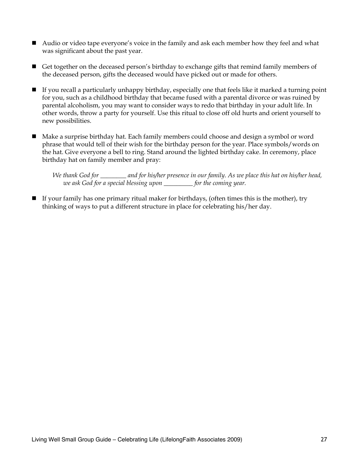- Audio or video tape everyone's voice in the family and ask each member how they feel and what was significant about the past year.
- Get together on the deceased person's birthday to exchange gifts that remind family members of the deceased person, gifts the deceased would have picked out or made for others.
- If you recall a particularly unhappy birthday, especially one that feels like it marked a turning point for you, such as a childhood birthday that became fused with a parental divorce or was ruined by parental alcoholism, you may want to consider ways to redo that birthday in your adult life. In other words, throw a party for yourself. Use this ritual to close off old hurts and orient yourself to new possibilities.
- Make a surprise birthday hat. Each family members could choose and design a symbol or word phrase that would tell of their wish for the birthday person for the year. Place symbols/words on the hat. Give everyone a bell to ring. Stand around the lighted birthday cake. In ceremony, place birthday hat on family member and pray:

*We thank God for \_\_\_\_\_\_\_\_ and for his/her presence in our family. As we place this hat on his/her head, we ask God for a special blessing upon \_\_\_\_\_\_\_\_\_ for the coming year.* 

If your family has one primary ritual maker for birthdays, (often times this is the mother), try thinking of ways to put a different structure in place for celebrating his/her day.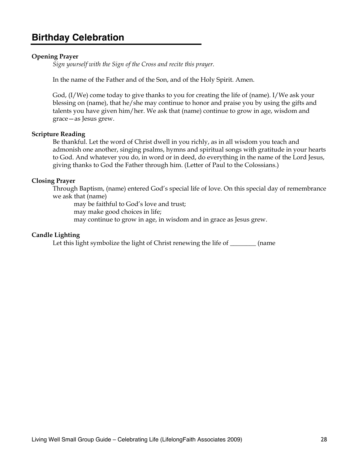# **Birthday Celebration**

#### **Opening Prayer**

*Sign yourself with the Sign of the Cross and recite this prayer.*

In the name of the Father and of the Son, and of the Holy Spirit. Amen.

God, (I/We) come today to give thanks to you for creating the life of (name). I/We ask your blessing on (name), that he/she may continue to honor and praise you by using the gifts and talents you have given him/her. We ask that (name) continue to grow in age, wisdom and grace—as Jesus grew.

#### **Scripture Reading**

Be thankful. Let the word of Christ dwell in you richly, as in all wisdom you teach and admonish one another, singing psalms, hymns and spiritual songs with gratitude in your hearts to God. And whatever you do, in word or in deed, do everything in the name of the Lord Jesus, giving thanks to God the Father through him. (Letter of Paul to the Colossians.)

#### **Closing Prayer**

Through Baptism, (name) entered God's special life of love. On this special day of remembrance we ask that (name)

may be faithful to God's love and trust;

may make good choices in life;

may continue to grow in age, in wisdom and in grace as Jesus grew.

#### **Candle Lighting**

Let this light symbolize the light of Christ renewing the life of \_\_\_\_\_\_\_\_\_ (name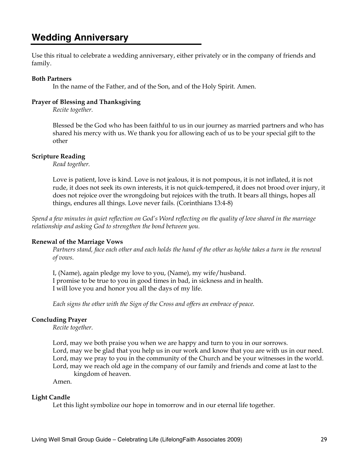# **Wedding Anniversary**

Use this ritual to celebrate a wedding anniversary, either privately or in the company of friends and family.

#### **Both Partners**

In the name of the Father, and of the Son, and of the Holy Spirit. Amen.

#### **Prayer of Blessing and Thanksgiving**

*Recite together.* 

Blessed be the God who has been faithful to us in our journey as married partners and who has shared his mercy with us. We thank you for allowing each of us to be your special gift to the other

#### **Scripture Reading**

*Read together.* 

Love is patient, love is kind. Love is not jealous, it is not pompous, it is not inflated, it is not rude, it does not seek its own interests, it is not quick-tempered, it does not brood over injury, it does not rejoice over the wrongdoing but rejoices with the truth. It bears all things, hopes all things, endures all things. Love never fails. (Corinthians 13:4-8)

*Spend a few minutes in quiet reflection on God's Word reflecting on the quality of love shared in the marriage relationship and asking God to strengthen the bond between you.*

#### **Renewal of the Marriage Vows**

*Partners stand, face each other and each holds the hand of the other as he/she takes a turn in the renewal of vows.*

I, (Name), again pledge my love to you, (Name), my wife/husband. I promise to be true to you in good times in bad, in sickness and in health. I will love you and honor you all the days of my life.

*Each signs the other with the Sign of the Cross and offers an embrace of peace.*

#### **Concluding Prayer**

*Recite together.* 

Lord, may we both praise you when we are happy and turn to you in our sorrows. Lord, may we be glad that you help us in our work and know that you are with us in our need. Lord, may we pray to you in the community of the Church and be your witnesses in the world. Lord, may we reach old age in the company of our family and friends and come at last to the kingdom of heaven.

Amen.

#### **Light Candle**

Let this light symbolize our hope in tomorrow and in our eternal life together.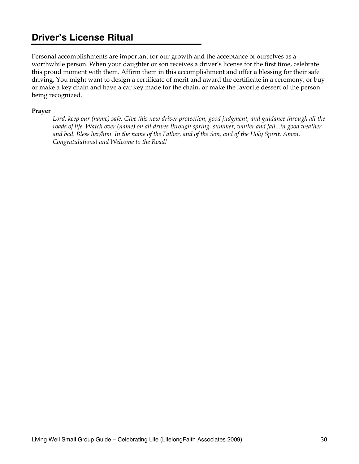# **Driver's License Ritual**

Personal accomplishments are important for our growth and the acceptance of ourselves as a worthwhile person. When your daughter or son receives a driver's license for the first time, celebrate this proud moment with them. Affirm them in this accomplishment and offer a blessing for their safe driving. You might want to design a certificate of merit and award the certificate in a ceremony, or buy or make a key chain and have a car key made for the chain, or make the favorite dessert of the person being recognized.

#### **Prayer**

*Lord, keep our (name) safe. Give this new driver protection, good judgment, and guidance through all the roads of life. Watch over (name) on all drives through spring, summer, winter and fall...in good weather and bad. Bless her/him. In the name of the Father, and of the Son, and of the Holy Spirit. Amen. Congratulations! and Welcome to the Road!*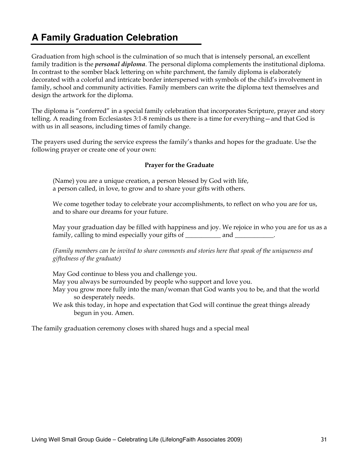# **A Family Graduation Celebration**

Graduation from high school is the culmination of so much that is intensely personal, an excellent family tradition is the *personal diploma*. The personal diploma complements the institutional diploma. In contrast to the somber black lettering on white parchment, the family diploma is elaborately decorated with a colorful and intricate border interspersed with symbols of the child's involvement in family, school and community activities. Family members can write the diploma text themselves and design the artwork for the diploma.

The diploma is "conferred" in a special family celebration that incorporates Scripture, prayer and story telling. A reading from Ecclesiastes 3:1-8 reminds us there is a time for everything—and that God is with us in all seasons, including times of family change.

The prayers used during the service express the family's thanks and hopes for the graduate. Use the following prayer or create one of your own:

#### **Prayer for the Graduate**

(Name) you are a unique creation, a person blessed by God with life, a person called, in love, to grow and to share your gifts with others.

We come together today to celebrate your accomplishments, to reflect on who you are for us, and to share our dreams for your future.

May your graduation day be filled with happiness and joy. We rejoice in who you are for us as a family, calling to mind especially your gifts of \_\_\_\_\_\_\_\_\_\_\_ and \_\_\_\_\_\_\_\_\_\_.

*(Family members can be invited to share comments and stories here that speak of the uniqueness and giftedness of the graduate)* 

May God continue to bless you and challenge you. May you always be surrounded by people who support and love you.

- May you grow more fully into the man/woman that God wants you to be, and that the world so desperately needs.
- We ask this today, in hope and expectation that God will continue the great things already begun in you. Amen.

The family graduation ceremony closes with shared hugs and a special meal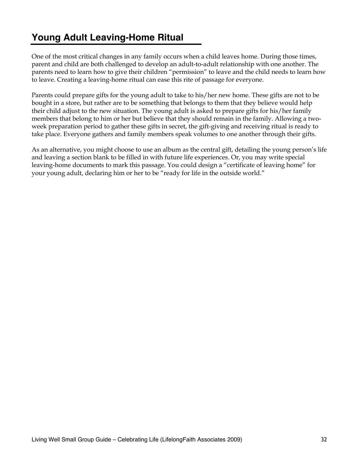# **Young Adult Leaving-Home Ritual**

One of the most critical changes in any family occurs when a child leaves home. During those times, parent and child are both challenged to develop an adult-to-adult relationship with one another. The parents need to learn how to give their children "permission" to leave and the child needs to learn how to leave. Creating a leaving-home ritual can ease this rite of passage for everyone.

Parents could prepare gifts for the young adult to take to his/her new home. These gifts are not to be bought in a store, but rather are to be something that belongs to them that they believe would help their child adjust to the new situation. The young adult is asked to prepare gifts for his/her family members that belong to him or her but believe that they should remain in the family. Allowing a twoweek preparation period to gather these gifts in secret, the gift-giving and receiving ritual is ready to take place. Everyone gathers and family members speak volumes to one another through their gifts.

As an alternative, you might choose to use an album as the central gift, detailing the young person's life and leaving a section blank to be filled in with future life experiences. Or, you may write special leaving-home documents to mark this passage. You could design a "certificate of leaving home" for your young adult, declaring him or her to be "ready for life in the outside world."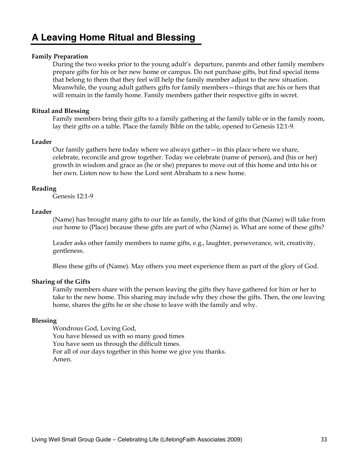# **A Leaving Home Ritual and Blessing**

#### **Family Preparation**

During the two weeks prior to the young adult's departure, parents and other family members prepare gifts for his or her new home or campus. Do not purchase gifts, but find special items that belong to them that they feel will help the family member adjust to the new situation. Meanwhile, the young adult gathers gifts for family members—things that are his or hers that will remain in the family home. Family members gather their respective gifts in secret.

#### **Ritual and Blessing**

Family members bring their gifts to a family gathering at the family table or in the family room, lay their gifts on a table. Place the family Bible on the table, opened to Genesis 12:1-9.

#### **Leader**

Our family gathers here today where we always gather—in this place where we share, celebrate, reconcile and grow together. Today we celebrate (name of person), and (his or her) growth in wisdom and grace as (he or she) prepares to move out of this home and into his or her own. Listen now to how the Lord sent Abraham to a new home.

#### **Reading**

Genesis 12:1-9

#### **Leader**

(Name) has brought many gifts to our life as family, the kind of gifts that (Name) will take from our home to (Place) because these gifts are part of who (Name) is. What are some of these gifts?

Leader asks other family members to name gifts, e.g., laughter, perseverance, wit, creativity, gentleness.

Bless these gifts of (Name). May others you meet experience them as part of the glory of God.

#### **Sharing of the Gifts**

Family members share with the person leaving the gifts they have gathered for him or her to take to the new home. This sharing may include why they chose the gifts. Then, the one leaving home, shares the gifts he or she chose to leave with the family and why.

#### **Blessing**

Wondrous God, Loving God, You have blessed us with so many good times You have seen us through the difficult times. For all of our days together in this home we give you thanks. Amen.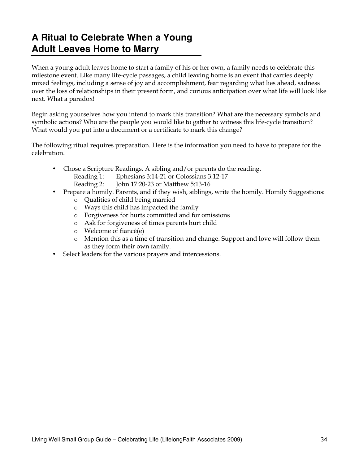# **A Ritual to Celebrate When a Young Adult Leaves Home to Marry**

When a young adult leaves home to start a family of his or her own, a family needs to celebrate this milestone event. Like many life-cycle passages, a child leaving home is an event that carries deeply mixed feelings, including a sense of joy and accomplishment, fear regarding what lies ahead, sadness over the loss of relationships in their present form, and curious anticipation over what life will look like next. What a paradox!

Begin asking yourselves how you intend to mark this transition? What are the necessary symbols and symbolic actions? Who are the people you would like to gather to witness this life-cycle transition? What would you put into a document or a certificate to mark this change?

The following ritual requires preparation. Here is the information you need to have to prepare for the celebration.

- Chose a Scripture Readings. A sibling and/or parents do the reading.
	- Reading 1: Ephesians 3:14-21 or Colossians 3:12-17
	- Reading 2: John 17:20-23 or Matthew 5:13-16
- Prepare a homily. Parents, and if they wish, siblings, write the homily. Homily Suggestions:
	- o Qualities of child being married
	- o Ways this child has impacted the family
	- o Forgiveness for hurts committed and for omissions
	- o Ask for forgiveness of times parents hurt child
	- o Welcome of fiancé(e)
	- o Mention this as a time of transition and change. Support and love will follow them as they form their own family.
- Select leaders for the various prayers and intercessions.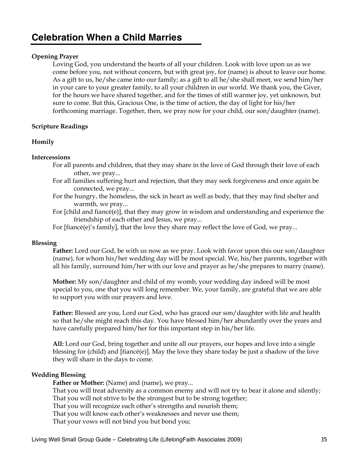# **Celebration When a Child Marries**

#### **Opening Prayer**

Loving God, you understand the hearts of all your children. Look with love upon us as we come before you, not without concern, but with great joy, for (name) is about to leave our home. As a gift to us, he/she came into our family; as a gift to all he/she shall meet, we send him/her in your care to your greater family, to all your children in our world. We thank you, the Giver, for the hours we have shared together, and for the times of still warmer joy, yet unknown, but sure to come. But this, Gracious One, is the time of action, the day of light for his/her forthcoming marriage. Together, then, we pray now for your child, our son/daughter (name).

#### **Scripture Readings**

#### **Homily**

#### **Intercessions**

- For all parents and children, that they may share in the love of God through their love of each other, we pray...
- For all families suffering hurt and rejection, that they may seek forgiveness and once again be connected, we pray...
- For the hungry, the homeless, the sick in heart as well as body, that they may find shelter and warmth, we pray...

For [child and fiancé(e)], that they may grow in wisdom and understanding and experience the friendship of each other and Jesus, we pray...

For [fiancé(e)'s family], that the love they share may reflect the love of God, we pray...

#### **Blessing**

**Father:** Lord our God, be with us now as we pray. Look with favor upon this our son/daughter (name), for whom his/her wedding day will be most special. We, his/her parents, together with all his family, surround him/her with our love and prayer as he/she prepares to marry (name).

**Mother:** My son/daughter and child of my womb, your wedding day indeed will be most special to you, one that you will long remember. We, your family, are grateful that we are able to support you with our prayers and love.

**Father:** Blessed are you, Lord our God, who has graced our son/daughter with life and health so that he/she might reach this day. You have blessed him/her abundantly over the years and have carefully prepared him/her for this important step in his/her life.

**All:** Lord our God, bring together and unite all our prayers, our hopes and love into a single blessing for (child) and [fiancé(e)]. May the love they share today be just a shadow of the love they will share in the days to come.

#### **Wedding Blessing**

Father or Mother: (Name) and (name), we pray...

That you will treat adversity as a common enemy and will not try to bear it alone and silently; That you will not strive to be the strongest but to be strong together;

That you will recognize each other's strengths and nourish them;

That you will know each other's weaknesses and never use them;

That your vows will not bind you but bond you;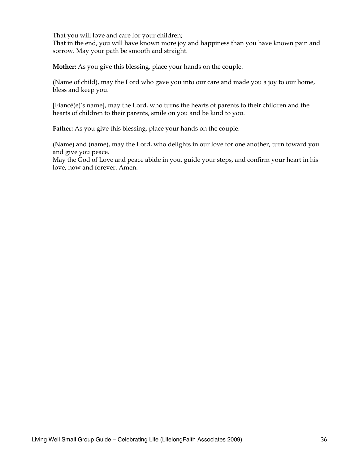That you will love and care for your children;

That in the end, you will have known more joy and happiness than you have known pain and sorrow. May your path be smooth and straight.

**Mother:** As you give this blessing, place your hands on the couple.

(Name of child), may the Lord who gave you into our care and made you a joy to our home, bless and keep you.

[Fiancé(e)'s name], may the Lord, who turns the hearts of parents to their children and the hearts of children to their parents, smile on you and be kind to you.

**Father:** As you give this blessing, place your hands on the couple.

(Name) and (name), may the Lord, who delights in our love for one another, turn toward you and give you peace.

May the God of Love and peace abide in you, guide your steps, and confirm your heart in his love, now and forever. Amen.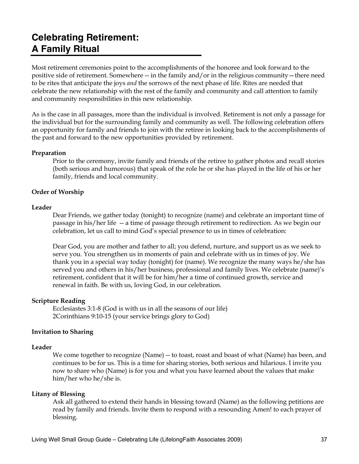## **Celebrating Retirement: A Family Ritual**

Most retirement ceremonies point to the accomplishments of the honoree and look forward to the positive side of retirement. Somewhere -- in the family and/or in the religious community—there need to be rites that anticipate the joys *and* the sorrows of the next phase of life. Rites are needed that celebrate the new relationship with the rest of the family and community and call attention to family and community responsibilities in this new relationship.

As is the case in all passages, more than the individual is involved. Retirement is not only a passage for the individual but for the surrounding family and community as well. The following celebration offers an opportunity for family and friends to join with the retiree in looking back to the accomplishments of the past and forward to the new opportunities provided by retirement.

#### **Preparation**

Prior to the ceremony, invite family and friends of the retiree to gather photos and recall stories (both serious and humorous) that speak of the role he or she has played in the life of his or her family, friends and local community.

#### **Order of Worship**

#### **Leader**

Dear Friends, we gather today (tonight) to recognize (name) and celebrate an important time of passage in his/her life -- a time of passage through retirement to redirection. As we begin our celebration, let us call to mind God's special presence to us in times of celebration:

Dear God, you are mother and father to all; you defend, nurture, and support us as we seek to serve you. You strengthen us in moments of pain and celebrate with us in times of joy. We thank you in a special way today (tonight) for (name). We recognize the many ways he/she has served you and others in his/her business, professional and family lives. We celebrate (name)'s retirement, confident that it will be for him/her a time of continued growth, service and renewal in faith. Be with us, loving God, in our celebration.

#### **Scripture Reading**

Ecclesiastes 3:1-8 (God is with us in all the seasons of our life) 2Corinthians 9:10-15 (your service brings glory to God)

#### **Invitation to Sharing**

#### **Leader**

We come together to recognize (Name) -- to toast, roast and boast of what (Name) has been, and continues to be for us. This is a time for sharing stories, both serious and hilarious. I invite you now to share who (Name) is for you and what you have learned about the values that make him/her who he/she is.

#### **Litany of Blessing**

Ask all gathered to extend their hands in blessing toward (Name) as the following petitions are read by family and friends. Invite them to respond with a resounding Amen! to each prayer of blessing.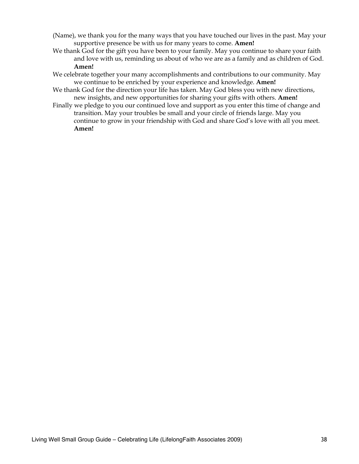- (Name), we thank you for the many ways that you have touched our lives in the past. May your supportive presence be with us for many years to come. **Amen!**
- We thank God for the gift you have been to your family. May you continue to share your faith and love with us, reminding us about of who we are as a family and as children of God. **Amen!**
- We celebrate together your many accomplishments and contributions to our community. May we continue to be enriched by your experience and knowledge. **Amen!**
- We thank God for the direction your life has taken. May God bless you with new directions, new insights, and new opportunities for sharing your gifts with others. **Amen!**
- Finally we pledge to you our continued love and support as you enter this time of change and transition. May your troubles be small and your circle of friends large. May you continue to grow in your friendship with God and share God's love with all you meet. **Amen!**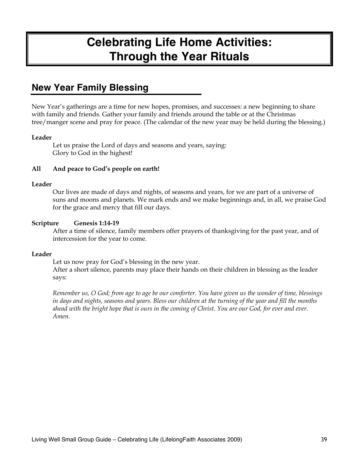# **Celebrating Life Home Activities: Through the Year Rituals**

## **New Year Family Blessing**

New Year's gatherings are a time for new hopes, promises, and successes: a new beginning to share with family and friends. Gather your family and friends around the table or at the Christmas tree/manger scene and pray for peace. (The calendar of the new year may be held during the blessing.)

#### **Leader**

Let us praise the Lord of days and seasons and years, saying: Glory to God in the highest!

#### **All And peace to God's people on earth!**

#### **Leader**

Our lives are made of days and nights, of seasons and years, for we are part of a universe of suns and moons and planets. We mark ends and we make beginnings and, in all, we praise God for the grace and mercy that fill our days.

#### **Scripture Genesis 1:14-19**

After a time of silence, family members offer prayers of thanksgiving for the past year, and of intercession for the year to come.

#### **Leader**

Let us now pray for God's blessing in the new year.

After a short silence, parents may place their hands on their children in blessing as the leader says:

*Remember us, O God; from age to age be our comforter. You have given us the wonder of time, blessings in days and nights, seasons and years. Bless our children at the turning of the year and fill the months ahead with the bright hope that is ours in the coming of Christ. You are our God, for ever and ever. Amen.*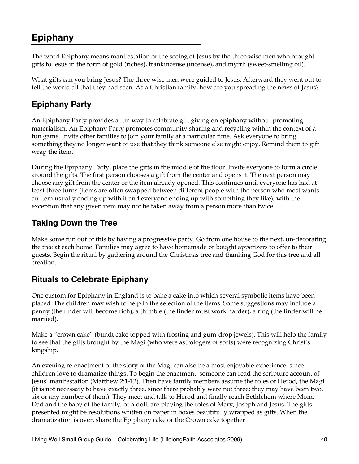## **Epiphany**

The word Epiphany means manifestation or the seeing of Jesus by the three wise men who brought gifts to Jesus in the form of gold (riches), frankincense (incense), and myrrh (sweet-smelling oil).

What gifts can you bring Jesus? The three wise men were guided to Jesus. Afterward they went out to tell the world all that they had seen. As a Christian family, how are you spreading the news of Jesus?

### **Epiphany Party**

An Epiphany Party provides a fun way to celebrate gift giving on epiphany without promoting materialism. An Epiphany Party promotes community sharing and recycling within the context of a fun game. Invite other families to join your family at a particular time. Ask everyone to bring something they no longer want or use that they think someone else might enjoy. Remind them to gift wrap the item.

During the Epiphany Party, place the gifts in the middle of the floor. Invite everyone to form a circle around the gifts. The first person chooses a gift from the center and opens it. The next person may choose any gift from the center or the item already opened. This continues until everyone has had at least three turns (items are often swapped between different people with the person who most wants an item usually ending up with it and everyone ending up with something they like), with the exception that any given item may not be taken away from a person more than twice.

### **Taking Down the Tree**

Make some fun out of this by having a progressive party. Go from one house to the next, un-decorating the tree at each home. Families may agree to have homemade or bought appetizers to offer to their guests. Begin the ritual by gathering around the Christmas tree and thanking God for this tree and all creation.

## **Rituals to Celebrate Epiphany**

One custom for Epiphany in England is to bake a cake into which several symbolic items have been placed. The children may wish to help in the selection of the items. Some suggestions may include a penny (the finder will become rich), a thimble (the finder must work harder), a ring (the finder will be married).

Make a "crown cake" (bundt cake topped with frosting and gum-drop jewels). This will help the family to see that the gifts brought by the Magi (who were astrologers of sorts) were recognizing Christ's kingship.

An evening re-enactment of the story of the Magi can also be a most enjoyable experience, since children love to dramatize things. To begin the enactment, someone can read the scripture account of Jesus' manifestation (Matthew 2:1-12). Then have family members assume the roles of Herod, the Magi (it is not necessary to have exactly three, since there probably were not three; they may have been two, six or any number of them). They meet and talk to Herod and finally reach Bethlehem where Mom, Dad and the baby of the family, or a doll, are playing the roles of Mary, Joseph and Jesus. The gifts presented might be resolutions written on paper in boxes beautifully wrapped as gifts. When the dramatization is over, share the Epiphany cake or the Crown cake together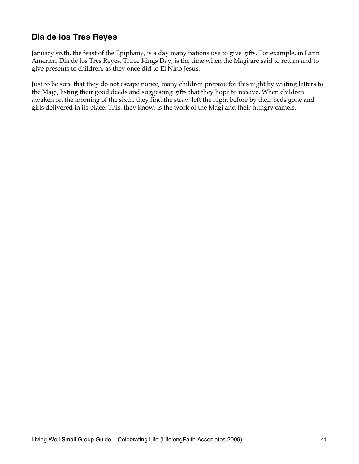### **Dia de los Tres Reyes**

January sixth, the feast of the Epiphany, is a day many nations use to give gifts. For example, in Latin America, Dia de los Tres Reyes, Three Kings Day, is the time when the Magi are said to return and to give presents to children, as they once did to El Nino Jesus.

Just to be sure that they do not escape notice, many children prepare for this night by writing letters to the Magi, listing their good deeds and suggesting gifts that they hope to receive. When children awaken on the morning of the sixth, they find the straw left the night before by their beds gone and gifts delivered in its place. This, they know, is the work of the Magi and their hungry camels.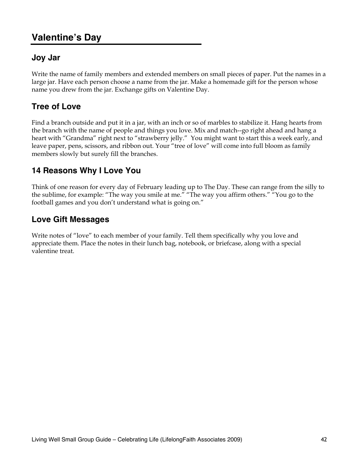## **Valentine's Day**

### **Joy Jar**

Write the name of family members and extended members on small pieces of paper. Put the names in a large jar. Have each person choose a name from the jar. Make a homemade gift for the person whose name you drew from the jar. Exchange gifts on Valentine Day.

### **Tree of Love**

Find a branch outside and put it in a jar, with an inch or so of marbles to stabilize it. Hang hearts from the branch with the name of people and things you love. Mix and match--go right ahead and hang a heart with "Grandma" right next to "strawberry jelly." You might want to start this a week early, and leave paper, pens, scissors, and ribbon out. Your "tree of love" will come into full bloom as family members slowly but surely fill the branches.

### **14 Reasons Why I Love You**

Think of one reason for every day of February leading up to The Day. These can range from the silly to the sublime, for example: "The way you smile at me." "The way you affirm others." "You go to the football games and you don't understand what is going on."

### **Love Gift Messages**

Write notes of "love" to each member of your family. Tell them specifically why you love and appreciate them. Place the notes in their lunch bag, notebook, or briefcase, along with a special valentine treat.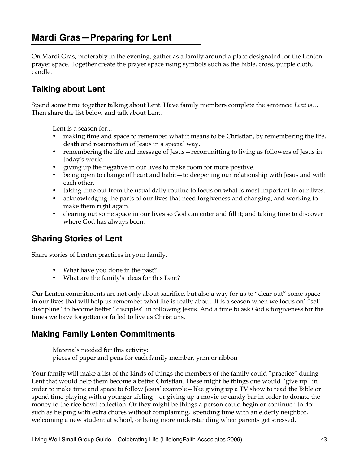## **Mardi Gras—Preparing for Lent**

On Mardi Gras, preferably in the evening, gather as a family around a place designated for the Lenten prayer space. Together create the prayer space using symbols such as the Bible, cross, purple cloth, candle.

### **Talking about Lent**

Spend some time together talking about Lent. Have family members complete the sentence: *Lent is…*  Then share the list below and talk about Lent.

Lent is a season for...

- making time and space to remember what it means to be Christian, by remembering the life, death and resurrection of Jesus in a special way.
- remembering the life and message of Jesus recommitting to living as followers of Jesus in today's world.
- giving up the negative in our lives to make room for more positive.
- being open to change of heart and habit—to deepening our relationship with Jesus and with each other.
- taking time out from the usual daily routine to focus on what is most important in our lives.
- acknowledging the parts of our lives that need forgiveness and changing, and working to make them right again.
- clearing out some space in our lives so God can enter and fill it; and taking time to discover where God has always been.

### **Sharing Stories of Lent**

Share stories of Lenten practices in your family.

- What have you done in the past?
- What are the family's ideas for this Lent?

Our Lenten commitments are not only about sacrifice, but also a way for us to "clear out" some space in our lives that will help us remember what life is really about. It is a season when we focus on` "selfdiscipline" to become better "disciples" in following Jesus. And a time to ask God's forgiveness for the times we have forgotten or failed to live as Christians.

### **Making Family Lenten Commitments**

Materials needed for this activity: pieces of paper and pens for each family member, yarn or ribbon

Your family will make a list of the kinds of things the members of the family could "practice" during Lent that would help them become a better Christian. These might be things one would "give up" in order to make time and space to follow Jesus' example—like giving up a TV show to read the Bible or spend time playing with a younger sibling—or giving up a movie or candy bar in order to donate the money to the rice bowl collection. Or they might be things a person could begin or continue "to do" – such as helping with extra chores without complaining, spending time with an elderly neighbor, welcoming a new student at school, or being more understanding when parents get stressed.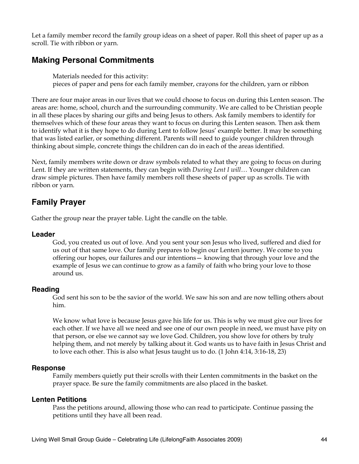Let a family member record the family group ideas on a sheet of paper. Roll this sheet of paper up as a scroll. Tie with ribbon or yarn.

### **Making Personal Commitments**

Materials needed for this activity: pieces of paper and pens for each family member, crayons for the children, yarn or ribbon

There are four major areas in our lives that we could choose to focus on during this Lenten season. The areas are: home, school, church and the surrounding community. We are called to be Christian people in all these places by sharing our gifts and being Jesus to others. Ask family members to identify for themselves which of these four areas they want to focus on during this Lenten season. Then ask them to identify what it is they hope to do during Lent to follow Jesus' example better. It may be something that was listed earlier, or something different. Parents will need to guide younger children through thinking about simple, concrete things the children can do in each of the areas identified.

Next, family members write down or draw symbols related to what they are going to focus on during Lent. If they are written statements, they can begin with *During Lent I will…* Younger children can draw simple pictures. Then have family members roll these sheets of paper up as scrolls. Tie with ribbon or yarn.

### **Family Prayer**

Gather the group near the prayer table. Light the candle on the table.

#### **Leader**

God, you created us out of love. And you sent your son Jesus who lived, suffered and died for us out of that same love. Our family prepares to begin our Lenten journey. We come to you offering our hopes, our failures and our intentions— knowing that through your love and the example of Jesus we can continue to grow as a family of faith who bring your love to those around us.

#### **Reading**

God sent his son to be the savior of the world. We saw his son and are now telling others about him.

We know what love is because Jesus gave his life for us. This is why we must give our lives for each other. If we have all we need and see one of our own people in need, we must have pity on that person, or else we cannot say we love God. Children, you show love for others by truly helping them, and not merely by talking about it. God wants us to have faith in Jesus Christ and to love each other. This is also what Jesus taught us to do. (1 John 4:14, 3:16-18, 23)

#### **Response**

Family members quietly put their scrolls with their Lenten commitments in the basket on the prayer space. Be sure the family commitments are also placed in the basket.

#### **Lenten Petitions**

Pass the petitions around, allowing those who can read to participate. Continue passing the petitions until they have all been read.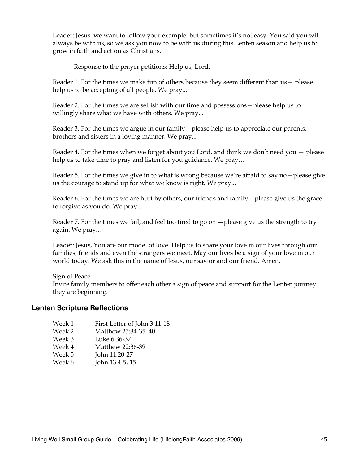Leader: Jesus, we want to follow your example, but sometimes it's not easy. You said you will always be with us, so we ask you now to be with us during this Lenten season and help us to grow in faith and action as Christians.

Response to the prayer petitions: Help us, Lord.

Reader 1. For the times we make fun of others because they seem different than us— please help us to be accepting of all people. We pray...

Reader 2. For the times we are selfish with our time and possessions—please help us to willingly share what we have with others. We pray...

Reader 3. For the times we argue in our family—please help us to appreciate our parents, brothers and sisters in a loving manner. We pray...

Reader 4. For the times when we forget about you Lord, and think we don't need you — please help us to take time to pray and listen for you guidance. We pray…

Reader 5. For the times we give in to what is wrong because we're afraid to say no—please give us the courage to stand up for what we know is right. We pray...

Reader 6. For the times we are hurt by others, our friends and family—please give us the grace to forgive as you do. We pray...

Reader 7. For the times we fail, and feel too tired to go on —please give us the strength to try again. We pray...

Leader: Jesus, You are our model of love. Help us to share your love in our lives through our families, friends and even the strangers we meet. May our lives be a sign of your love in our world today. We ask this in the name of Jesus, our savior and our friend. Amen.

Sign of Peace

Invite family members to offer each other a sign of peace and support for the Lenten journey they are beginning.

#### **Lenten Scripture Reflections**

- Week 1 First Letter of John 3:11-18
- Week 2 Matthew 25:34-35, 40
- Week 3 Luke 6:36-37
- Week 4 Matthew 22:36-39
- Week 5 **John 11:20-27**
- Week 6 **John 13:4-5, 15**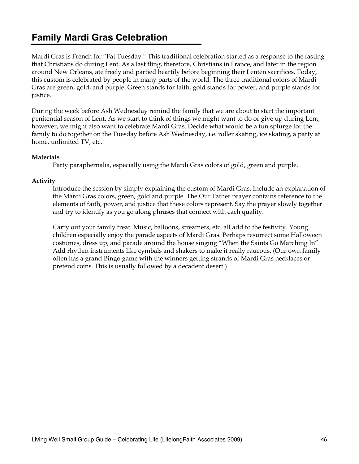## **Family Mardi Gras Celebration**

Mardi Gras is French for "Fat Tuesday." This traditional celebration started as a response to the fasting that Christians do during Lent. As a last fling, therefore, Christians in France, and later in the region around New Orleans, ate freely and partied heartily before beginning their Lenten sacrifices. Today, this custom is celebrated by people in many parts of the world. The three traditional colors of Mardi Gras are green, gold, and purple. Green stands for faith, gold stands for power, and purple stands for justice.

During the week before Ash Wednesday remind the family that we are about to start the important penitential season of Lent. As we start to think of things we might want to do or give up during Lent, however, we might also want to celebrate Mardi Gras. Decide what would be a fun splurge for the family to do together on the Tuesday before Ash Wednesday, i.e. roller skating, ice skating, a party at home, unlimited TV, etc.

#### **Materials**

Party paraphernalia, especially using the Mardi Gras colors of gold, green and purple.

#### **Activity**

Introduce the session by simply explaining the custom of Mardi Gras. Include an explanation of the Mardi Gras colors, green, gold and purple. The Our Father prayer contains reference to the elements of faith, power, and justice that these colors represent. Say the prayer slowly together and try to identify as you go along phrases that connect with each quality.

Carry out your family treat. Music, balloons, streamers, etc. all add to the festivity. Young children especially enjoy the parade aspects of Mardi Gras. Perhaps resurrect some Halloween costumes, dress up, and parade around the house singing "When the Saints Go Marching In" Add rhythm instruments like cymbals and shakers to make it really raucous. (Our own family often has a grand Bingo game with the winners getting strands of Mardi Gras necklaces or pretend coins. This is usually followed by a decadent desert.)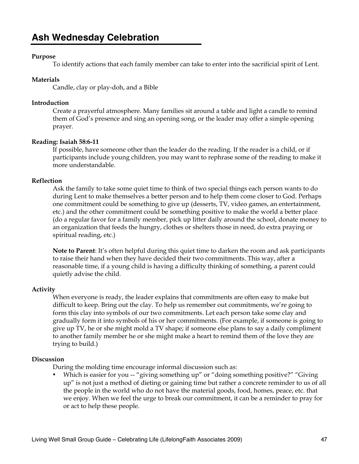## **Ash Wednesday Celebration**

#### **Purpose**

To identify actions that each family member can take to enter into the sacrificial spirit of Lent.

#### **Materials**

Candle, clay or play-doh, and a Bible

#### **Introduction**

Create a prayerful atmosphere. Many families sit around a table and light a candle to remind them of God's presence and sing an opening song, or the leader may offer a simple opening prayer.

#### **Reading: Isaiah 58:6-11**

If possible, have someone other than the leader do the reading. If the reader is a child, or if participants include young children, you may want to rephrase some of the reading to make it more understandable.

#### **Reflection**

Ask the family to take some quiet time to think of two special things each person wants to do during Lent to make themselves a better person and to help them come closer to God. Perhaps one commitment could be something to give up (desserts, TV, video games, an entertainment, etc.) and the other commitment could be something positive to make the world a better place (do a regular favor for a family member, pick up litter daily around the school, donate money to an organization that feeds the hungry, clothes or shelters those in need, do extra praying or spiritual reading, etc.)

**Note to Parent**: It's often helpful during this quiet time to darken the room and ask participants to raise their hand when they have decided their two commitments. This way, after a reasonable time, if a young child is having a difficulty thinking of something, a parent could quietly advise the child.

#### **Activity**

When everyone is ready, the leader explains that commitments are often easy to make but difficult to keep. Bring out the clay. To help us remember out commitments, we're going to form this clay into symbols of our two commitments. Let each person take some clay and gradually form it into symbols of his or her commitments. (For example, if someone is going to give up TV, he or she might mold a TV shape; if someone else plans to say a daily compliment to another family member he or she might make a heart to remind them of the love they are trying to build.)

#### **Discussion**

During the molding time encourage informal discussion such as:

• Which is easier for you -- "giving something up" or "doing something positive?" "Giving up" is not just a method of dieting or gaining time but rather a concrete reminder to us of all the people in the world who do not have the material goods, food, homes, peace, etc. that we enjoy. When we feel the urge to break our commitment, it can be a reminder to pray for or act to help these people.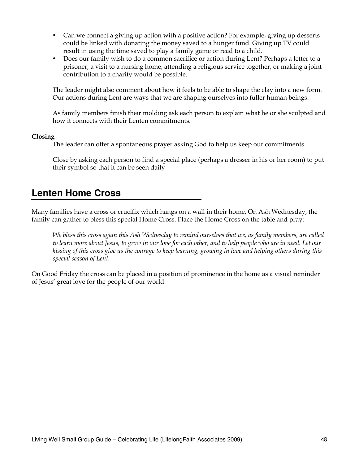- Can we connect a giving up action with a positive action? For example, giving up desserts could be linked with donating the money saved to a hunger fund. Giving up TV could result in using the time saved to play a family game or read to a child.
- Does our family wish to do a common sacrifice or action during Lent? Perhaps a letter to a prisoner, a visit to a nursing home, attending a religious service together, or making a joint contribution to a charity would be possible.

The leader might also comment about how it feels to be able to shape the clay into a new form. Our actions during Lent are ways that we are shaping ourselves into fuller human beings.

As family members finish their molding ask each person to explain what he or she sculpted and how it connects with their Lenten commitments.

#### **Closing**

The leader can offer a spontaneous prayer asking God to help us keep our commitments.

Close by asking each person to find a special place (perhaps a dresser in his or her room) to put their symbol so that it can be seen daily

## **Lenten Home Cross**

Many families have a cross or crucifix which hangs on a wall in their home. On Ash Wednesday, the family can gather to bless this special Home Cross. Place the Home Cross on the table and pray:

*We bless this cross again this Ash Wednesday to remind ourselves that we, as family members, are called to learn more about Jesus, to grow in our love for each other, and to help people who are in need. Let our kissing of this cross give us the courage to keep learning, growing in love and helping others during this special season of Lent.*

On Good Friday the cross can be placed in a position of prominence in the home as a visual reminder of Jesus' great love for the people of our world.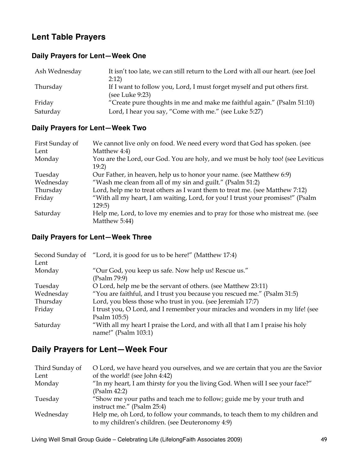## **Lent Table Prayers**

### **Daily Prayers for Lent—Week One**

| Ash Wednesday | It isn't too late, we can still return to the Lord with all our heart. (see Joel<br>2:12)    |
|---------------|----------------------------------------------------------------------------------------------|
| Thursday      | If I want to follow you, Lord, I must forget myself and put others first.<br>(see Luke 9:23) |
| Friday        | "Create pure thoughts in me and make me faithful again." (Psalm 51:10)                       |
| Saturday      | Lord, I hear you say, "Come with me." (see Luke 5:27)                                        |

### **Daily Prayers for Lent—Week Two**

| First Sunday of | We cannot live only on food. We need every word that God has spoken. (see                      |
|-----------------|------------------------------------------------------------------------------------------------|
| Lent            | Matthew 4:4)                                                                                   |
| Monday          | You are the Lord, our God. You are holy, and we must be holy too! (see Leviticus<br>19:2)      |
| Tuesday         | Our Father, in heaven, help us to honor your name. (see Matthew 6:9)                           |
| Wednesday       | "Wash me clean from all of my sin and guilt." (Psalm 51:2)                                     |
| Thursday        | Lord, help me to treat others as I want them to treat me. (see Matthew 7:12)                   |
| Friday          | "With all my heart, I am waiting, Lord, for you! I trust your promises!" (Psalm<br>129:5)      |
| Saturday        | Help me, Lord, to love my enemies and to pray for those who mistreat me. (see<br>Matthew 5:44) |

### **Daily Prayers for Lent—Week Three**

| Second Sunday of "Lord, it is good for us to be here!" (Matthew 17:4)          |
|--------------------------------------------------------------------------------|
|                                                                                |
| "Our God, you keep us safe. Now help us! Rescue us."                           |
| (Psalm 79:9)                                                                   |
| O Lord, help me be the servant of others. (see Matthew 23:11)                  |
| "You are faithful, and I trust you because you rescued me." (Psalm 31:5)       |
| Lord, you bless those who trust in you. (see Jeremiah 17:7)                    |
| I trust you, O Lord, and I remember your miracles and wonders in my life! (see |
| Psalm 105:5)                                                                   |
| "With all my heart I praise the Lord, and with all that I am I praise his holy |
| name!" (Psalm 103:1)                                                           |
|                                                                                |

## **Daily Prayers for Lent—Week Four**

| Third Sunday of | O Lord, we have heard you ourselves, and we are certain that you are the Savior |
|-----------------|---------------------------------------------------------------------------------|
| Lent            | of the world! (see John 4:42)                                                   |
| Monday          | "In my heart, I am thirsty for you the living God. When will I see your face?"  |
|                 | (Psalm 42:2)                                                                    |
| Tuesday         | "Show me your paths and teach me to follow; guide me by your truth and          |
|                 | instruct me." (Psalm 25:4)                                                      |
| Wednesday       | Help me, oh Lord, to follow your commands, to teach them to my children and     |
|                 | to my children's children. (see Deuteronomy 4:9)                                |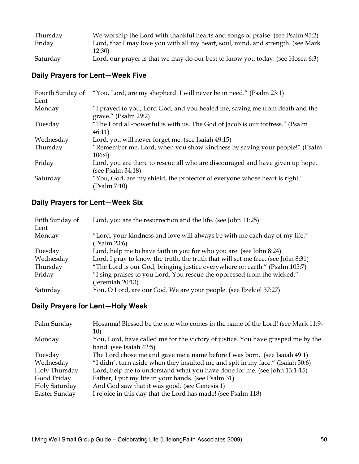| Thursday                                    | We worship the Lord with thankful hearts and songs of praise. (see Psalm 95:2)                                |
|---------------------------------------------|---------------------------------------------------------------------------------------------------------------|
| Friday                                      | Lord, that I may love you with all my heart, soul, mind, and strength. (see Mark                              |
|                                             | 12:30)                                                                                                        |
| $C_2$ $\mu$ $\mu$ $\lambda$ $\sigma$ $\tau$ | $L_{\alpha}$ and $L_{\alpha}$ are $L_{\alpha}$ is that we may do one hast to league way today (see Hasse 6.2) |

### Saturday Lord, our prayer is that we may do our best to know you today. (see Hosea 6:3)

### **Daily Prayers for Lent—Week Five**

| Fourth Sunday of | "You, Lord, are my shepherd. I will never be in need." (Psalm 23:1)                                 |
|------------------|-----------------------------------------------------------------------------------------------------|
| Lent             |                                                                                                     |
| Monday           | "I prayed to you, Lord God, and you healed me, saving me from death and the<br>grave." (Psalm 29:2) |
| Tuesday          | "The Lord all-powerful is with us. The God of Jacob is our fortress." (Psalm<br>46:11)              |
| Wednesday        | Lord, you will never forget me. (see Isaiah 49:15)                                                  |
| Thursday         | "Remember me, Lord, when you show kindness by saving your people!" (Psalm<br>106:4)                 |
| Friday           | Lord, you are there to rescue all who are discouraged and have given up hope.<br>(see Psalm 34:18)  |
| Saturday         | "You, God, are my shield, the protector of everyone whose heart is right."<br>(Psalm 7:10)          |

### **Daily Prayers for Lent—Week Six**

| Fifth Sunday of | Lord, you are the resurrection and the life. (see John 11:25)                    |
|-----------------|----------------------------------------------------------------------------------|
| Lent            |                                                                                  |
| Monday          | "Lord, your kindness and love will always be with me each day of my life."       |
|                 | (Psalm 23:6)                                                                     |
| Tuesday         | Lord, help me to have faith in you for who you are. (see John 8:24)              |
| Wednesday       | Lord, I pray to know the truth, the truth that will set me free. (see John 8:31) |
| Thursday        | "The Lord is our God, bringing justice everywhere on earth." (Psalm 105:7)       |
| Friday          | "I sing praises to you Lord. You rescue the oppressed from the wicked."          |
|                 | (Jeremiah 20:13)                                                                 |
| Saturday        | You, O Lord, are our God. We are your people. (see Ezekiel 37:27)                |

### **Daily Prayers for Lent—Holy Week**

| Hosanna! Blessed be the one who comes in the name of the Lord! (see Mark 11:9-<br>10)                       |
|-------------------------------------------------------------------------------------------------------------|
| You, Lord, have called me for the victory of justice. You have grasped me by the<br>hand. (see Isaiah 42:5) |
| The Lord chose me and gave me a name before I was born. (see Isaiah 49:1)                                   |
| "I didn't turn aside when they insulted me and spit in my face." (Isaiah 50:6)                              |
| Lord, help me to understand what you have done for me. (see John 13:1-15)                                   |
| Father, I put my life in your hands. (see Psalm 31)                                                         |
| And God saw that it was good. (see Genesis 1)                                                               |
| I rejoice in this day that the Lord has made! (see Psalm 118)                                               |
|                                                                                                             |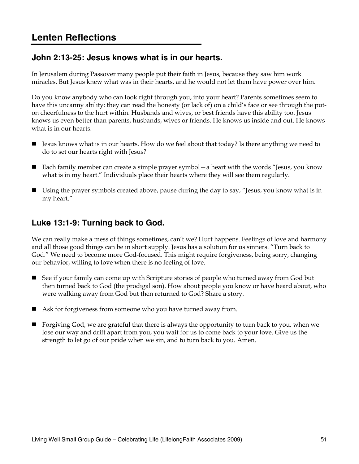## **Lenten Reflections**

### **John 2:13-25: Jesus knows what is in our hearts.**

In Jerusalem during Passover many people put their faith in Jesus, because they saw him work miracles. But Jesus knew what was in their hearts, and he would not let them have power over him.

Do you know anybody who can look right through you, into your heart? Parents sometimes seem to have this uncanny ability: they can read the honesty (or lack of) on a child's face or see through the puton cheerfulness to the hurt within. Husbands and wives, or best friends have this ability too. Jesus knows us even better than parents, husbands, wives or friends. He knows us inside and out. He knows what is in our hearts.

- $\blacksquare$  Jesus knows what is in our hearts. How do we feel about that today? Is there anything we need to do to set our hearts right with Jesus?
- Each family member can create a simple prayer symbol a heart with the words "Jesus, you know what is in my heart." Individuals place their hearts where they will see them regularly.
- Using the prayer symbols created above, pause during the day to say, "Jesus, you know what is in my heart."

### **Luke 13:1-9: Turning back to God.**

We can really make a mess of things sometimes, can't we? Hurt happens. Feelings of love and harmony and all those good things can be in short supply. Jesus has a solution for us sinners. "Turn back to God." We need to become more God-focused. This might require forgiveness, being sorry, changing our behavior, willing to love when there is no feeling of love.

- See if your family can come up with Scripture stories of people who turned away from God but then turned back to God (the prodigal son). How about people you know or have heard about, who were walking away from God but then returned to God? Share a story.
- Ask for forgiveness from someone who you have turned away from.
- **F** Forgiving God, we are grateful that there is always the opportunity to turn back to you, when we lose our way and drift apart from you, you wait for us to come back to your love. Give us the strength to let go of our pride when we sin, and to turn back to you. Amen.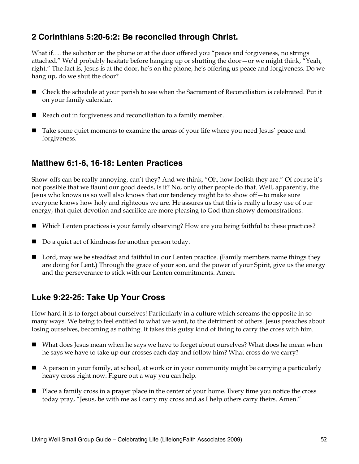### **2 Corinthians 5:20-6:2: Be reconciled through Christ.**

What if…. the solicitor on the phone or at the door offered you "peace and forgiveness, no strings attached." We'd probably hesitate before hanging up or shutting the door—or we might think, "Yeah, right." The fact is, Jesus is at the door, he's on the phone, he's offering us peace and forgiveness. Do we hang up, do we shut the door?

- Check the schedule at your parish to see when the Sacrament of Reconciliation is celebrated. Put it on your family calendar.
- Reach out in forgiveness and reconciliation to a family member.
- Take some quiet moments to examine the areas of your life where you need Jesus' peace and forgiveness.

### **Matthew 6:1-6, 16-18: Lenten Practices**

Show-offs can be really annoying, can't they? And we think, "Oh, how foolish they are." Of course it's not possible that we flaunt our good deeds, is it? No, only other people do that. Well, apparently, the Jesus who knows us so well also knows that our tendency might be to show off—to make sure everyone knows how holy and righteous we are. He assures us that this is really a lousy use of our energy, that quiet devotion and sacrifice are more pleasing to God than showy demonstrations.

- Which Lenten practices is your family observing? How are you being faithful to these practices?
- Do a quiet act of kindness for another person today.
- Lord, may we be steadfast and faithful in our Lenten practice. (Family members name things they are doing for Lent.) Through the grace of your son, and the power of your Spirit, give us the energy and the perseverance to stick with our Lenten commitments. Amen.

### **Luke 9:22-25: Take Up Your Cross**

How hard it is to forget about ourselves! Particularly in a culture which screams the opposite in so many ways. We being to feel entitled to what we want, to the detriment of others. Jesus preaches about losing ourselves, becoming as nothing. It takes this gutsy kind of living to carry the cross with him.

- What does Jesus mean when he says we have to forget about ourselves? What does he mean when he says we have to take up our crosses each day and follow him? What cross do we carry?
- A person in your family, at school, at work or in your community might be carrying a particularly heavy cross right now. Figure out a way you can help.
- Place a family cross in a prayer place in the center of your home. Every time you notice the cross today pray, "Jesus, be with me as I carry my cross and as I help others carry theirs. Amen."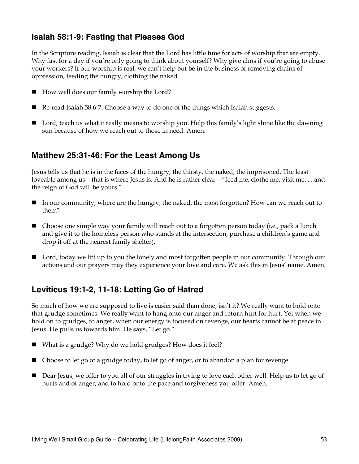### **Isaiah 58:1-9: Fasting that Pleases God**

In the Scripture reading, Isaiah is clear that the Lord has little time for acts of worship that are empty. Why fast for a day if you're only going to think about yourself? Why give alms if you're going to abuse your workers? If our worship is real, we can't help but be in the business of removing chains of oppression, feeding the hungry, clothing the naked.

- How well does our family worship the Lord?
- Re-read Isaiah 58:6-7. Choose a way to do one of the things which Isaiah suggests.
- $\blacksquare$  Lord, teach us what it really means to worship you. Help this family's light shine like the dawning sun because of how we reach out to those in need. Amen.

### **Matthew 25:31-46: For the Least Among Us**

Jesus tells us that he is in the faces of the hungry, the thirsty, the naked, the imprisoned. The least loveable among us—that is where Jesus is. And he is rather clear—"feed me, clothe me, visit me. . . and the reign of God will be yours."

- In our community, where are the hungry, the naked, the most forgotten? How can we reach out to them?
- Choose one simple way your family will reach out to a forgotten person today (i.e., pack a lunch and give it to the homeless person who stands at the intersection, purchase a children's game and drop it off at the nearest family shelter).
- Lord, today we lift up to you the lonely and most forgotten people in our community. Through our actions and our prayers may they experience your love and care. We ask this in Jesus' name. Amen.

### **Leviticus 19:1-2, 11-18: Letting Go of Hatred**

So much of how we are supposed to live is easier said than done, isn't it? We really want to hold onto that grudge sometimes. We really want to hang onto our anger and return hurt for hurt. Yet when we hold on to grudges, to anger, when our energy is focused on revenge, our hearts cannot be at peace in Jesus. He pulls us towards him. He says, "Let go."

- What is a grudge? Why do we hold grudges? How does it feel?
- Choose to let go of a grudge today, to let go of anger, or to abandon a plan for revenge.
- Dear Jesus, we offer to you all of our struggles in trying to love each other well. Help us to let go of hurts and of anger, and to hold onto the pace and forgiveness you offer. Amen.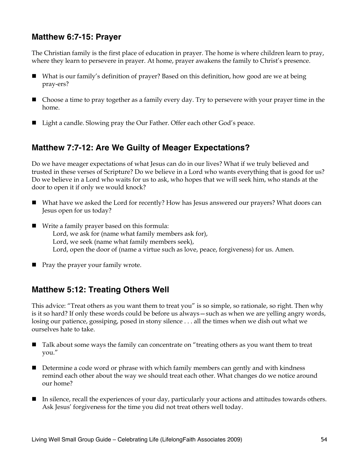### **Matthew 6:7-15: Prayer**

The Christian family is the first place of education in prayer. The home is where children learn to pray, where they learn to persevere in prayer. At home, prayer awakens the family to Christ's presence.

- What is our family's definition of prayer? Based on this definition, how good are we at being pray-ers?
- Choose a time to pray together as a family every day. Try to persevere with your prayer time in the home.
- Light a candle. Slowing pray the Our Father. Offer each other God's peace.

### **Matthew 7:7-12: Are We Guilty of Meager Expectations?**

Do we have meager expectations of what Jesus can do in our lives? What if we truly believed and trusted in these verses of Scripture? Do we believe in a Lord who wants everything that is good for us? Do we believe in a Lord who waits for us to ask, who hopes that we will seek him, who stands at the door to open it if only we would knock?

- What have we asked the Lord for recently? How has Jesus answered our prayers? What doors can Jesus open for us today?
- Write a family prayer based on this formula: Lord, we ask for (name what family members ask for), Lord, we seek (name what family members seek), Lord, open the door of (name a virtue such as love, peace, forgiveness) for us. Amen.
- **Pray the prayer your family wrote.**

### **Matthew 5:12: Treating Others Well**

This advice: "Treat others as you want them to treat you" is so simple, so rationale, so right. Then why is it so hard? If only these words could be before us always—such as when we are yelling angry words, losing our patience, gossiping, posed in stony silence . . . all the times when we dish out what we ourselves hate to take.

- Talk about some ways the family can concentrate on "treating others as you want them to treat you."
- Determine a code word or phrase with which family members can gently and with kindness remind each other about the way we should treat each other. What changes do we notice around our home?
- In silence, recall the experiences of your day, particularly your actions and attitudes towards others. Ask Jesus' forgiveness for the time you did not treat others well today.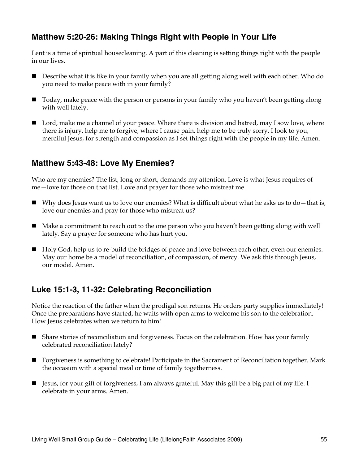### **Matthew 5:20-26: Making Things Right with People in Your Life**

Lent is a time of spiritual housecleaning. A part of this cleaning is setting things right with the people in our lives.

- Describe what it is like in your family when you are all getting along well with each other. Who do you need to make peace with in your family?
- $\blacksquare$  Today, make peace with the person or persons in your family who you haven't been getting along with well lately.
- Lord, make me a channel of your peace. Where there is division and hatred, may I sow love, where there is injury, help me to forgive, where I cause pain, help me to be truly sorry. I look to you, merciful Jesus, for strength and compassion as I set things right with the people in my life. Amen.

### **Matthew 5:43-48: Love My Enemies?**

Who are my enemies? The list, long or short, demands my attention. Love is what Jesus requires of me—love for those on that list. Love and prayer for those who mistreat me.

- Why does Jesus want us to love our enemies? What is difficult about what he asks us to  $do$  that is, love our enemies and pray for those who mistreat us?
- Make a commitment to reach out to the one person who you haven't been getting along with well lately. Say a prayer for someone who has hurt you.
- Holy God, help us to re-build the bridges of peace and love between each other, even our enemies. May our home be a model of reconciliation, of compassion, of mercy. We ask this through Jesus, our model. Amen.

### **Luke 15:1-3, 11-32: Celebrating Reconciliation**

Notice the reaction of the father when the prodigal son returns. He orders party supplies immediately! Once the preparations have started, he waits with open arms to welcome his son to the celebration. How Jesus celebrates when we return to him!

- Share stories of reconciliation and forgiveness. Focus on the celebration. How has your family celebrated reconciliation lately?
- Forgiveness is something to celebrate! Participate in the Sacrament of Reconciliation together. Mark the occasion with a special meal or time of family togetherness.
- Jesus, for your gift of forgiveness, I am always grateful. May this gift be a big part of my life. I celebrate in your arms. Amen.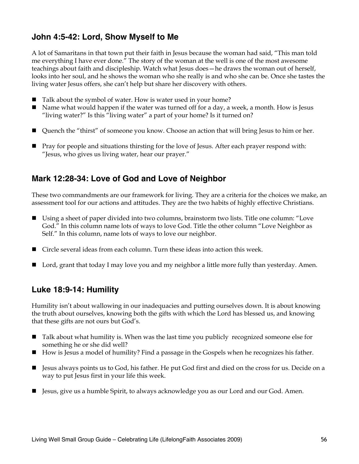### **John 4:5-42: Lord, Show Myself to Me**

A lot of Samaritans in that town put their faith in Jesus because the woman had said, "This man told me everything I have ever done." The story of the woman at the well is one of the most awesome teachings about faith and discipleship. Watch what Jesus does—he draws the woman out of herself, looks into her soul, and he shows the woman who she really is and who she can be. Once she tastes the living water Jesus offers, she can't help but share her discovery with others.

- Talk about the symbol of water. How is water used in your home?
- $\blacksquare$  Name what would happen if the water was turned off for a day, a week, a month. How is Jesus "living water?" Is this "living water" a part of your home? Is it turned on?
- Quench the "thirst" of someone you know. Choose an action that will bring Jesus to him or her.
- Pray for people and situations thirsting for the love of Jesus. After each prayer respond with: "Jesus, who gives us living water, hear our prayer."

### **Mark 12:28-34: Love of God and Love of Neighbor**

These two commandments are our framework for living. They are a criteria for the choices we make, an assessment tool for our actions and attitudes. They are the two habits of highly effective Christians.

- Using a sheet of paper divided into two columns, brainstorm two lists. Title one column: "Love God." In this column name lots of ways to love God. Title the other column "Love Neighbor as Self." In this column, name lots of ways to love our neighbor.
- Circle several ideas from each column. Turn these ideas into action this week.
- Lord, grant that today I may love you and my neighbor a little more fully than yesterday. Amen.

### **Luke 18:9-14: Humility**

Humility isn't about wallowing in our inadequacies and putting ourselves down. It is about knowing the truth about ourselves, knowing both the gifts with which the Lord has blessed us, and knowing that these gifts are not ours but God's.

- Talk about what humility is. When was the last time you publicly recognized someone else for something he or she did well?
- How is Jesus a model of humility? Find a passage in the Gospels when he recognizes his father.
- Jesus always points us to God, his father. He put God first and died on the cross for us. Decide on a way to put Jesus first in your life this week.
- Jesus, give us a humble Spirit, to always acknowledge you as our Lord and our God. Amen.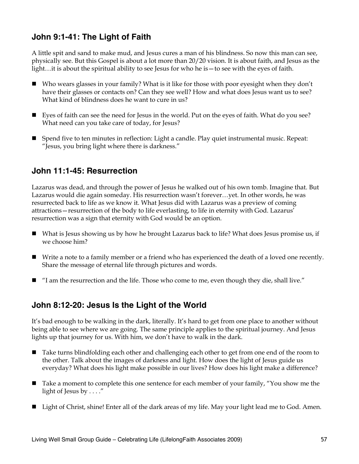### **John 9:1-41: The Light of Faith**

A little spit and sand to make mud, and Jesus cures a man of his blindness. So now this man can see, physically see. But this Gospel is about a lot more than 20/20 vision. It is about faith, and Jesus as the light…it is about the spiritual ability to see Jesus for who he is—to see with the eyes of faith.

- Who wears glasses in your family? What is it like for those with poor eyesight when they don't have their glasses or contacts on? Can they see well? How and what does Jesus want us to see? What kind of blindness does he want to cure in us?
- Eyes of faith can see the need for Jesus in the world. Put on the eyes of faith. What do you see? What need can you take care of today, for Jesus?
- Spend five to ten minutes in reflection: Light a candle. Play quiet instrumental music. Repeat: "Jesus, you bring light where there is darkness."

### **John 11:1-45: Resurrection**

Lazarus was dead, and through the power of Jesus he walked out of his own tomb. Imagine that. But Lazarus would die again someday. His resurrection wasn't forever…yet. In other words, he was resurrected back to life as we know it. What Jesus did with Lazarus was a preview of coming attractions—resurrection of the body to life everlasting, to life in eternity with God. Lazarus' resurrection was a sign that eternity with God would be an option.

- What is Jesus showing us by how he brought Lazarus back to life? What does Jesus promise us, if we choose him?
- Write a note to a family member or a friend who has experienced the death of a loved one recently. Share the message of eternal life through pictures and words.
- "I am the resurrection and the life. Those who come to me, even though they die, shall live."

### **John 8:12-20: Jesus Is the Light of the World**

It's bad enough to be walking in the dark, literally. It's hard to get from one place to another without being able to see where we are going. The same principle applies to the spiritual journey. And Jesus lights up that journey for us. With him, we don't have to walk in the dark.

- Take turns blindfolding each other and challenging each other to get from one end of the room to the other. Talk about the images of darkness and light. How does the light of Jesus guide us everyday? What does his light make possible in our lives? How does his light make a difference?
- Take a moment to complete this one sentence for each member of your family, "You show me the light of Jesus by . . . ."
- Light of Christ, shine! Enter all of the dark areas of my life. May your light lead me to God. Amen.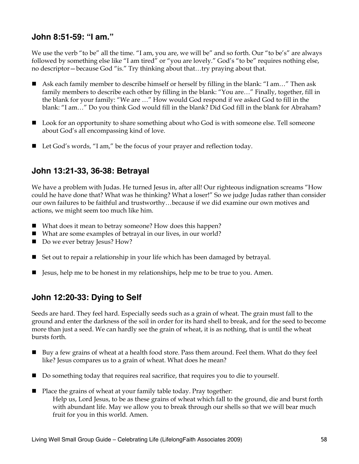### **John 8:51-59: "I am."**

We use the verb "to be" all the time. "I am, you are, we will be" and so forth. Our "to be's" are always followed by something else like "I am tired" or "you are lovely." God's "to be" requires nothing else, no descriptor—because God "is." Try thinking about that…try praying about that.

- Ask each family member to describe himself or herself by filling in the blank: "I am..." Then ask family members to describe each other by filling in the blank: "You are…" Finally, together, fill in the blank for your family: "We are …" How would God respond if we asked God to fill in the blank: "I am…" Do you think God would fill in the blank? Did God fill in the blank for Abraham?
- **Look for an opportunity to share something about who God is with someone else. Tell someone** about God's all encompassing kind of love.
- Let God's words, "I am," be the focus of your prayer and reflection today.

### **John 13:21-33, 36-38: Betrayal**

We have a problem with Judas. He turned Jesus in, after all! Our righteous indignation screams "How could he have done that? What was he thinking? What a loser!" So we judge Judas rather than consider our own failures to be faithful and trustworthy…because if we did examine our own motives and actions, we might seem too much like him.

- What does it mean to betray someone? How does this happen?
- What are some examples of betrayal in our lives, in our world?
- Do we ever betray Jesus? How?
- Set out to repair a relationship in your life which has been damaged by betrayal.
- **Jesus, help me to be honest in my relationships, help me to be true to you. Amen.**

### **John 12:20-33: Dying to Self**

Seeds are hard. They feel hard. Especially seeds such as a grain of wheat. The grain must fall to the ground and enter the darkness of the soil in order for its hard shell to break, and for the seed to become more than just a seed. We can hardly see the grain of wheat, it is as nothing, that is until the wheat bursts forth.

- Buy a few grains of wheat at a health food store. Pass them around. Feel them. What do they feel like? Jesus compares us to a grain of wheat. What does he mean?
- Do something today that requires real sacrifice, that requires you to die to yourself.
- Place the grains of wheat at your family table today. Pray together: Help us, Lord Jesus, to be as these grains of wheat which fall to the ground, die and burst forth with abundant life. May we allow you to break through our shells so that we will bear much fruit for you in this world. Amen.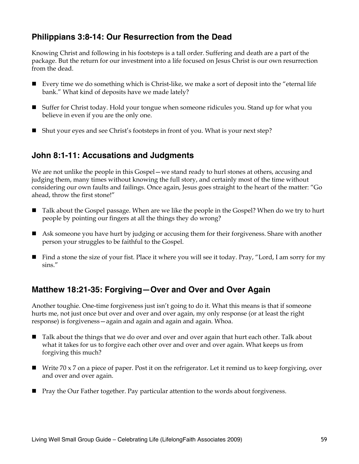### **Philippians 3:8-14: Our Resurrection from the Dead**

Knowing Christ and following in his footsteps is a tall order. Suffering and death are a part of the package. But the return for our investment into a life focused on Jesus Christ is our own resurrection from the dead.

- Every time we do something which is Christ-like, we make a sort of deposit into the "eternal life bank." What kind of deposits have we made lately?
- Suffer for Christ today. Hold your tongue when someone ridicules you. Stand up for what you believe in even if you are the only one.
- Shut your eyes and see Christ's footsteps in front of you. What is your next step?

### **John 8:1-11: Accusations and Judgments**

We are not unlike the people in this Gospel — we stand ready to hurl stones at others, accusing and judging them, many times without knowing the full story, and certainly most of the time without considering our own faults and failings. Once again, Jesus goes straight to the heart of the matter: "Go ahead, throw the first stone!"

- Talk about the Gospel passage. When are we like the people in the Gospel? When do we try to hurt people by pointing our fingers at all the things they do wrong?
- Ask someone you have hurt by judging or accusing them for their forgiveness. Share with another person your struggles to be faithful to the Gospel.
- $\blacksquare$  Find a stone the size of your fist. Place it where you will see it today. Pray, "Lord, I am sorry for my sins."

### **Matthew 18:21-35: Forgiving—Over and Over and Over Again**

Another toughie. One-time forgiveness just isn't going to do it. What this means is that if someone hurts me, not just once but over and over and over again, my only response (or at least the right response) is forgiveness—again and again and again and again. Whoa.

- Talk about the things that we do over and over and over again that hurt each other. Talk about what it takes for us to forgive each other over and over and over again. What keeps us from forgiving this much?
- Write 70 x 7 on a piece of paper. Post it on the refrigerator. Let it remind us to keep forgiving, over and over and over again.
- Pray the Our Father together. Pay particular attention to the words about forgiveness.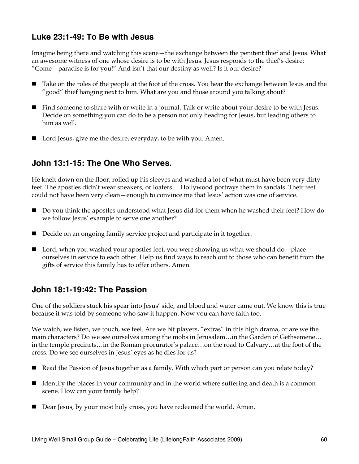### **Luke 23:1-49: To Be with Jesus**

Imagine being there and watching this scene—the exchange between the penitent thief and Jesus. What an awesome witness of one whose desire is to be with Jesus. Jesus responds to the thief's desire: "Come—paradise is for you!" And isn't that our destiny as well? Is it our desire?

- Take on the roles of the people at the foot of the cross. You hear the exchange between Jesus and the "good" thief hanging next to him. What are you and those around you talking about?
- Find someone to share with or write in a journal. Talk or write about your desire to be with Jesus. Decide on something you can do to be a person not only heading for Jesus, but leading others to him as well.
- Lord Jesus, give me the desire, everyday, to be with you. Amen.

### **John 13:1-15: The One Who Serves.**

He knelt down on the floor, rolled up his sleeves and washed a lot of what must have been very dirty feet. The apostles didn't wear sneakers, or loafers …Hollywood portrays them in sandals. Their feet could not have been very clean—enough to convince me that Jesus' action was one of service.

- Do you think the apostles understood what Jesus did for them when he washed their feet? How do we follow Jesus' example to serve one another?
- Decide on an ongoing family service project and participate in it together.
- $\blacksquare$  Lord, when you washed your apostles feet, you were showing us what we should do  $-\rho$  place ourselves in service to each other. Help us find ways to reach out to those who can benefit from the gifts of service this family has to offer others. Amen.

### **John 18:1-19:42: The Passion**

One of the soldiers stuck his spear into Jesus' side, and blood and water came out. We know this is true because it was told by someone who saw it happen. Now you can have faith too.

We watch, we listen, we touch, we feel. Are we bit players, "extras" in this high drama, or are we the main characters? Do we see ourselves among the mobs in Jerusalem…in the Garden of Gethsemene… in the temple precincts…in the Roman procurator's palace…on the road to Calvary…at the foot of the cross. Do we see ourselves in Jesus' eyes as he dies for us?

- Read the Passion of Jesus together as a family. With which part or person can you relate today?
- Identify the places in your community and in the world where suffering and death is a common scene. How can your family help?
- Dear Jesus, by your most holy cross, you have redeemed the world. Amen.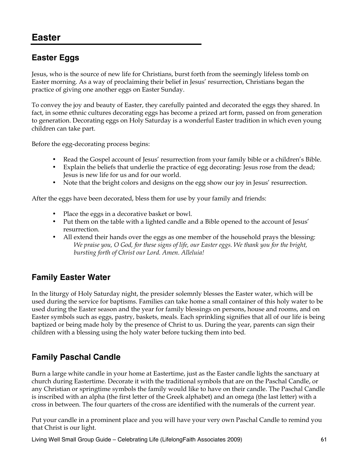### **Easter**

### **Easter Eggs**

Jesus, who is the source of new life for Christians, burst forth from the seemingly lifeless tomb on Easter morning. As a way of proclaiming their belief in Jesus' resurrection, Christians began the practice of giving one another eggs on Easter Sunday.

To convey the joy and beauty of Easter, they carefully painted and decorated the eggs they shared. In fact, in some ethnic cultures decorating eggs has become a prized art form, passed on from generation to generation. Decorating eggs on Holy Saturday is a wonderful Easter tradition in which even young children can take part.

Before the egg-decorating process begins:

- Read the Gospel account of Jesus' resurrection from your family bible or a children's Bible.
- Explain the beliefs that underlie the practice of egg decorating: Jesus rose from the dead; Jesus is new life for us and for our world.
- Note that the bright colors and designs on the egg show our joy in Jesus' resurrection.

After the eggs have been decorated, bless them for use by your family and friends:

- Place the eggs in a decorative basket or bowl.
- Put them on the table with a lighted candle and a Bible opened to the account of Jesus' resurrection.
- All extend their hands over the eggs as one member of the household prays the blessing: *We praise you, O God, for these signs of life, our Easter eggs. We thank you for the bright, bursting forth of Christ our Lord. Amen. Alleluia!*

### **Family Easter Water**

In the liturgy of Holy Saturday night, the presider solemnly blesses the Easter water, which will be used during the service for baptisms. Families can take home a small container of this holy water to be used during the Easter season and the year for family blessings on persons, house and rooms, and on Easter symbols such as eggs, pastry, baskets, meals. Each sprinkling signifies that all of our life is being baptized or being made holy by the presence of Christ to us. During the year, parents can sign their children with a blessing using the holy water before tucking them into bed.

### **Family Paschal Candle**

Burn a large white candle in your home at Eastertime, just as the Easter candle lights the sanctuary at church during Eastertime. Decorate it with the traditional symbols that are on the Paschal Candle, or any Christian or springtime symbols the family would like to have on their candle. The Paschal Candle is inscribed with an alpha (the first letter of the Greek alphabet) and an omega (the last letter) with a cross in between. The four quarters of the cross are identified with the numerals of the current year.

Put your candle in a prominent place and you will have your very own Paschal Candle to remind you that Christ is our light.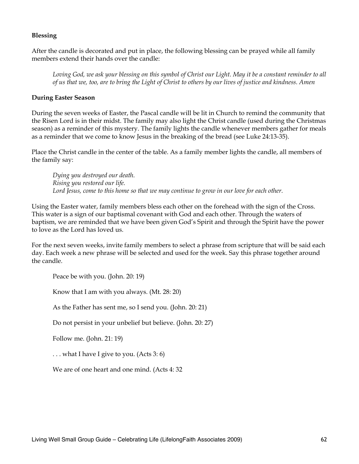#### **Blessing**

After the candle is decorated and put in place, the following blessing can be prayed while all family members extend their hands over the candle:

*Loving God, we ask your blessing on this symbol of Christ our Light. May it be a constant reminder to all of us that we, too, are to bring the Light of Christ to others by our lives of justice and kindness. Amen*

#### **During Easter Season**

During the seven weeks of Easter, the Pascal candle will be lit in Church to remind the community that the Risen Lord is in their midst. The family may also light the Christ candle (used during the Christmas season) as a reminder of this mystery. The family lights the candle whenever members gather for meals as a reminder that we come to know Jesus in the breaking of the bread (see Luke 24:13-35).

Place the Christ candle in the center of the table. As a family member lights the candle, all members of the family say:

*Dying you destroyed our death. Rising you restored our life. Lord Jesus, come to this home so that we may continue to grow in our love for each other.*

Using the Easter water, family members bless each other on the forehead with the sign of the Cross. This water is a sign of our baptismal covenant with God and each other. Through the waters of baptism, we are reminded that we have been given God's Spirit and through the Spirit have the power to love as the Lord has loved us.

For the next seven weeks, invite family members to select a phrase from scripture that will be said each day. Each week a new phrase will be selected and used for the week. Say this phrase together around the candle.

Peace be with you. (John. 20: 19)

Know that I am with you always. (Mt. 28: 20)

As the Father has sent me, so I send you. (John. 20: 21)

Do not persist in your unbelief but believe. (John. 20: 27)

Follow me. (John. 21: 19)

. . . what I have I give to you. (Acts 3: 6)

We are of one heart and one mind. (Acts 4: 32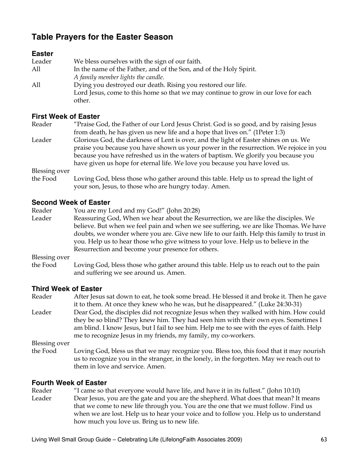### **Table Prayers for the Easter Season**

#### **Easter**

| Leader | We bless ourselves with the sign of our faith.                                     |
|--------|------------------------------------------------------------------------------------|
| All    | In the name of the Father, and of the Son, and of the Holy Spirit.                 |
|        | A family member lights the candle.                                                 |
| All    | Dying you destroyed our death. Rising you restored our life.                       |
|        | Lord Jesus, come to this home so that we may continue to grow in our love for each |
|        | other.                                                                             |

#### **First Week of Easter**

| Reader | "Praise God, the Father of our Lord Jesus Christ. God is so good, and by raising Jesus |
|--------|----------------------------------------------------------------------------------------|
|        | from death, he has given us new life and a hope that lives on." (1Peter 1:3)           |
| Leader | Glorious God, the darkness of Lent is over, and the light of Easter shines on us. We   |
|        | praise you because you have shown us your power in the resurrection. We rejoice in you |
|        | because you have refreshed us in the waters of baptism. We glorify you because you     |
|        | have given us hope for eternal life. We love you because you have loved us.            |

Blessing over

the Food Loving God, bless those who gather around this table. Help us to spread the light of your son, Jesus, to those who are hungry today. Amen.

#### **Second Week of Easter**

Reader You are my Lord and my God!" (John 20:28)

Leader Reassuring God, When we hear about the Resurrection, we are like the disciples. We believe. But when we feel pain and when we see suffering, we are like Thomas. We have doubts, we wonder where you are. Give new life to our faith. Help this family to trust in you. Help us to hear those who give witness to your love. Help us to believe in the Resurrection and become your presence for others.

Blessing over

the Food Loving God, bless those who gather around this table. Help us to reach out to the pain and suffering we see around us. Amen.

# **Third Week of Easter**<br>Reader **After Iesus**

After Jesus sat down to eat, he took some bread. He blessed it and broke it. Then he gave it to them. At once they knew who he was, but he disappeared." (Luke 24:30-31) Leader Dear God, the disciples did not recognize Jesus when they walked with him. How could they be so blind? They knew him. They had seen him with their own eyes. Sometimes I am blind. I know Jesus, but I fail to see him. Help me to see with the eyes of faith. Help me to recognize Jesus in my friends, my family, my co-workers. Blessing over

the Food Loving God, bless us that we may recognize you. Bless too, this food that it may nourish us to recognize you in the stranger, in the lonely, in the forgotten. May we reach out to them in love and service. Amen.

#### **Fourth Week of Easter**

Reader "I came so that everyone would have life, and have it in its fullest." (John 10:10)<br>Leader Dear Jesus, you are the gate and you are the shepherd What does that mean? It Dear Jesus, you are the gate and you are the shepherd. What does that mean? It means that we come to new life through you. You are the one that we must follow. Find us when we are lost. Help us to hear your voice and to follow you. Help us to understand how much you love us. Bring us to new life.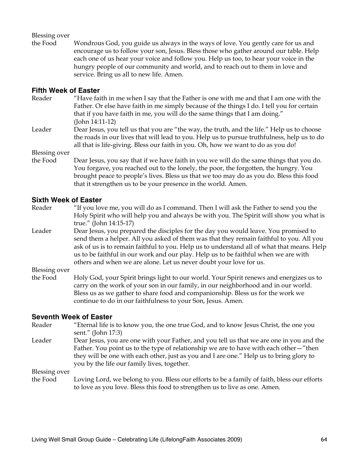#### Blessing over

the Food Wondrous God, you guide us always in the ways of love. You gently care for us and encourage us to follow your son, Jesus. Bless those who gather around our table. Help each one of us hear your voice and follow you. Help us too, to hear your voice in the hungry people of our community and world, and to reach out to them in love and service. Bring us all to new life. Amen.

#### **Fifth Week of Easter**

Reader "Have faith in me when I say that the Father is one with me and that I am one with the Father. Or else have faith in me simply because of the things I do. I tell you for certain that if you have faith in me, you will do the same things that I am doing." (John 14:11-12) Leader Dear Jesus, you tell us that you are "the way, the truth, and the life." Help us to choose the roads in our lives that will lead to you. Help us to pursue truthfulness, help us to do

all that is life-giving. Bless our faith in you. Oh, how we want to do as you do! Blessing over

the Food Dear Jesus, you say that if we have faith in you we will do the same things that you do. You forgave, you reached out to the lonely, the poor, the forgotten, the hungry. You brought peace to people's lives. Bless us that we too may do as you do. Bless this food that it strengthen us to be your presence in the world. Amen.

### **Sixth Week of Easter**

- Reader "If you love me, you will do as I command. Then I will ask the Father to send you the Holy Spirit who will help you and always be with you. The Spirit will show you what is true." (John 14:15-17)
- Leader Dear Jesus, you prepared the disciples for the day you would leave. You promised to send them a helper. All you asked of them was that they remain faithful to you. All you ask of us is to remain faithful to you. Help us to understand all of what that means. Help us to be faithful in our work and our play. Help us to be faithful when we are with others and when we are alone. Let us never doubt your love for us.

Blessing over

the Food Holy God, your Spirit brings light to our world. Your Spirit renews and energizes us to carry on the work of your son in our family, in our neighborhood and in our world. Bless us as we gather to share food and companionship. Bless us for the work we continue to do in our faithfulness to your Son, Jesus. Amen.

#### **Seventh Week of Easter**

Reader "Eternal life is to know you, the one true God, and to know Jesus Christ, the one you sent." (John 17:3) Leader Dear Jesus, you are one with your Father, and you tell us that we are one in you and the Father. You point us to the type of relationship we are to have with each other—"then they will be one with each other, just as you and I are one." Help us to bring glory to you by the life our family lives, together.

Blessing over

the Food Loving Lord, we belong to you. Bless our efforts to be a family of faith, bless our efforts to love as you love. Bless this food to strengthen us to live as one. Amen.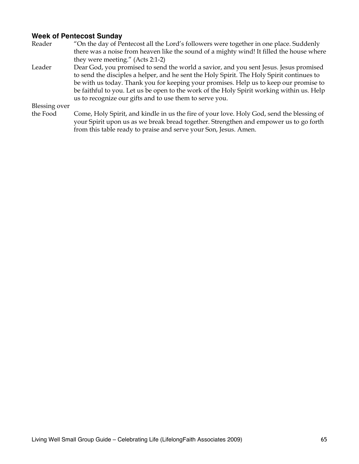### **Week of Pentecost Sunday**

- Reader "On the day of Pentecost all the Lord's followers were together in one place. Suddenly there was a noise from heaven like the sound of a mighty wind! It filled the house where they were meeting." (Acts 2:1-2) Leader Dear God, you promised to send the world a savior, and you sent Jesus. Jesus promised to send the disciples a helper, and he sent the Holy Spirit. The Holy Spirit continues to be with us today. Thank you for keeping your promises. Help us to keep our promise to be faithful to you. Let us be open to the work of the Holy Spirit working within us. Help us to recognize our gifts and to use them to serve you. Blessing over
- the Food Come, Holy Spirit, and kindle in us the fire of your love. Holy God, send the blessing of your Spirit upon us as we break bread together. Strengthen and empower us to go forth from this table ready to praise and serve your Son, Jesus. Amen.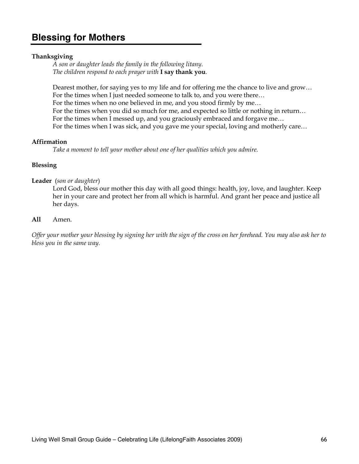## **Blessing for Mothers**

### **Thanksgiving**

*A son or daughter leads the family in the following litany. The children respond to each prayer with* **I say thank you***.*

Dearest mother, for saying yes to my life and for offering me the chance to live and grow… For the times when I just needed someone to talk to, and you were there… For the times when no one believed in me, and you stood firmly by me… For the times when you did so much for me, and expected so little or nothing in return… For the times when I messed up, and you graciously embraced and forgave me… For the times when I was sick, and you gave me your special, loving and motherly care…

#### **Affirmation**

*Take a moment to tell your mother about one of her qualities which you admire.*

### **Blessing**

#### **Leader** (*son or daughter*)

Lord God, bless our mother this day with all good things: health, joy, love, and laughter. Keep her in your care and protect her from all which is harmful. And grant her peace and justice all her days.

#### **All** Amen.

*Offer your mother your blessing by signing her with the sign of the cross on her forehead. You may also ask her to bless you in the same way.*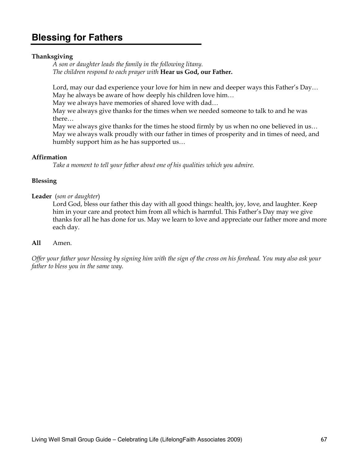## **Blessing for Fathers**

#### **Thanksgiving**

*A son or daughter leads the family in the following litany. The children respond to each prayer with* **Hear us God, our Father.**

Lord, may our dad experience your love for him in new and deeper ways this Father's Day… May he always be aware of how deeply his children love him…

May we always have memories of shared love with dad…

May we always give thanks for the times when we needed someone to talk to and he was there…

May we always give thanks for the times he stood firmly by us when no one believed in us... May we always walk proudly with our father in times of prosperity and in times of need, and humbly support him as he has supported us…

#### **Affirmation**

*Take a moment to tell your father about one of his qualities which you admire.*

#### **Blessing**

#### **Leader** (*son or daughter*)

Lord God, bless our father this day with all good things: health, joy, love, and laughter. Keep him in your care and protect him from all which is harmful. This Father's Day may we give thanks for all he has done for us. May we learn to love and appreciate our father more and more each day.

#### **All** Amen.

*Offer your father your blessing by signing him with the sign of the cross on his forehead. You may also ask your father to bless you in the same way.*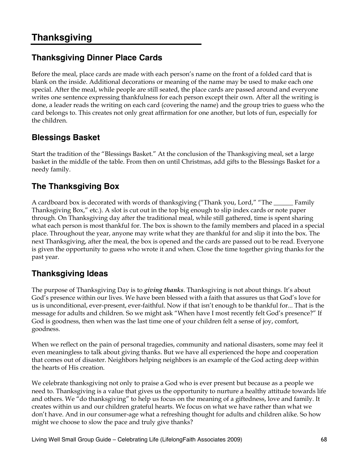## **Thanksgiving Dinner Place Cards**

Before the meal, place cards are made with each person's name on the front of a folded card that is blank on the inside. Additional decorations or meaning of the name may be used to make each one special. After the meal, while people are still seated, the place cards are passed around and everyone writes one sentence expressing thankfulness for each person except their own. After all the writing is done, a leader reads the writing on each card (covering the name) and the group tries to guess who the card belongs to. This creates not only great affirmation for one another, but lots of fun, especially for the children.

## **Blessings Basket**

Start the tradition of the "Blessings Basket." At the conclusion of the Thanksgiving meal, set a large basket in the middle of the table. From then on until Christmas, add gifts to the Blessings Basket for a needy family.

## **The Thanksgiving Box**

A cardboard box is decorated with words of thanksgiving ("Thank you, Lord," "The \_\_\_\_\_\_ Family Thanksgiving Box," etc.). A slot is cut out in the top big enough to slip index cards or note paper through. On Thanksgiving day after the traditional meal, while still gathered, time is spent sharing what each person is most thankful for. The box is shown to the family members and placed in a special place. Throughout the year, anyone may write what they are thankful for and slip it into the box. The next Thanksgiving, after the meal, the box is opened and the cards are passed out to be read. Everyone is given the opportunity to guess who wrote it and when. Close the time together giving thanks for the past year.

## **Thanksgiving Ideas**

The purpose of Thanksgiving Day is to *giving thanks*. Thanksgiving is not about things. It's about God's presence within our lives. We have been blessed with a faith that assures us that God's love for us is unconditional, ever-present, ever-faithful. Now if that isn't enough to be thankful for... That is the message for adults and children. So we might ask "When have I most recently felt God's presence?" If God is goodness, then when was the last time one of your children felt a sense of joy, comfort, goodness.

When we reflect on the pain of personal tragedies, community and national disasters, some may feel it even meaningless to talk about giving thanks. But we have all experienced the hope and cooperation that comes out of disaster. Neighbors helping neighbors is an example of the God acting deep within the hearts of His creation.

We celebrate thanksgiving not only to praise a God who is ever present but because as a people we need to. Thanksgiving is a value that gives us the opportunity to nurture a healthy attitude towards life and others. We "do thanksgiving" to help us focus on the meaning of a giftedness, love and family. It creates within us and our children grateful hearts. We focus on what we have rather than what we don't have. And in our consumer-age what a refreshing thought for adults and children alike. So how might we choose to slow the pace and truly give thanks?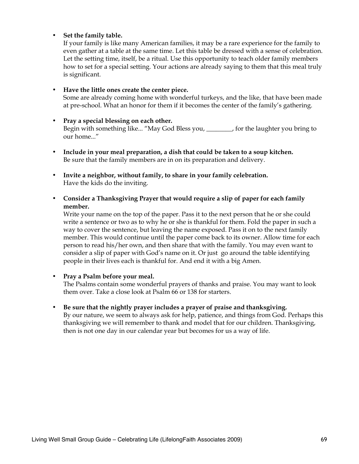#### • **Set the family table.**

If your family is like many American families, it may be a rare experience for the family to even gather at a table at the same time. Let this table be dressed with a sense of celebration. Let the setting time, itself, be a ritual. Use this opportunity to teach older family members how to set for a special setting. Your actions are already saying to them that this meal truly is significant.

#### • **Have the little ones create the center piece.**

Some are already coming home with wonderful turkeys, and the like, that have been made at pre-school. What an honor for them if it becomes the center of the family's gathering.

#### • **Pray a special blessing on each other.**

Begin with something like... "May God Bless you, \_\_\_\_\_\_, for the laughter you bring to our home..."

- **Include in your meal preparation, a dish that could be taken to a soup kitchen.**  Be sure that the family members are in on its preparation and delivery.
- **Invite a neighbor, without family, to share in your family celebration.**  Have the kids do the inviting.
- **Consider a Thanksgiving Prayer that would require a slip of paper for each family member.**

Write your name on the top of the paper. Pass it to the next person that he or she could write a sentence or two as to why he or she is thankful for them. Fold the paper in such a way to cover the sentence, but leaving the name exposed. Pass it on to the next family member. This would continue until the paper come back to its owner. Allow time for each person to read his/her own, and then share that with the family. You may even want to consider a slip of paper with God's name on it. Or just go around the table identifying people in their lives each is thankful for. And end it with a big Amen.

• **Pray a Psalm before your meal.** 

The Psalms contain some wonderful prayers of thanks and praise. You may want to look them over. Take a close look at Psalm 66 or 138 for starters.

#### • **Be sure that the nightly prayer includes a prayer of praise and thanksgiving.**

By our nature, we seem to always ask for help, patience, and things from God. Perhaps this thanksgiving we will remember to thank and model that for our children. Thanksgiving, then is not one day in our calendar year but becomes for us a way of life.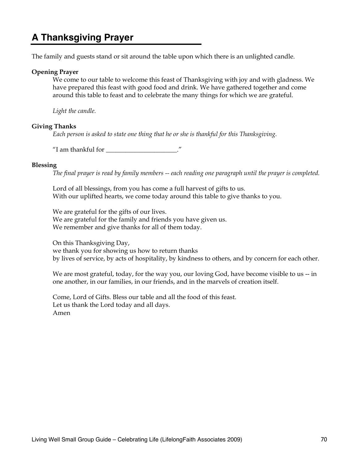## **A Thanksgiving Prayer**

The family and guests stand or sit around the table upon which there is an unlighted candle.

#### **Opening Prayer**

We come to our table to welcome this feast of Thanksgiving with joy and with gladness. We have prepared this feast with good food and drink. We have gathered together and come around this table to feast and to celebrate the many things for which we are grateful.

*Light the candle.*

#### **Giving Thanks**

*Each person is asked to state one thing that he or she is thankful for this Thanksgiving.*

"I am thankful for  $\overline{\phantom{a}}$ 

#### **Blessing**

*The final prayer is read by family members -- each reading one paragraph until the prayer is completed.*

Lord of all blessings, from you has come a full harvest of gifts to us. With our uplifted hearts, we come today around this table to give thanks to you.

We are grateful for the gifts of our lives. We are grateful for the family and friends you have given us. We remember and give thanks for all of them today.

On this Thanksgiving Day, we thank you for showing us how to return thanks by lives of service, by acts of hospitality, by kindness to others, and by concern for each other.

We are most grateful, today, for the way you, our loving God, have become visible to us -- in one another, in our families, in our friends, and in the marvels of creation itself.

Come, Lord of Gifts. Bless our table and all the food of this feast. Let us thank the Lord today and all days. Amen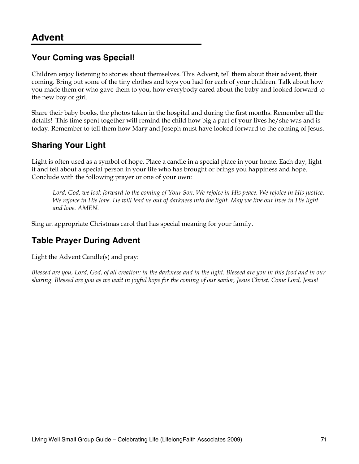### **Your Coming was Special!**

Children enjoy listening to stories about themselves. This Advent, tell them about their advent, their coming. Bring out some of the tiny clothes and toys you had for each of your children. Talk about how you made them or who gave them to you, how everybody cared about the baby and looked forward to the new boy or girl.

Share their baby books, the photos taken in the hospital and during the first months. Remember all the details! This time spent together will remind the child how big a part of your lives he/she was and is today. Remember to tell them how Mary and Joseph must have looked forward to the coming of Jesus.

### **Sharing Your Light**

Light is often used as a symbol of hope. Place a candle in a special place in your home. Each day, light it and tell about a special person in your life who has brought or brings you happiness and hope. Conclude with the following prayer or one of your own:

*Lord, God, we look forward to the coming of Your Son. We rejoice in His peace. We rejoice in His justice. We rejoice in His love. He will lead us out of darkness into the light. May we live our lives in His light and love. AMEN.*

Sing an appropriate Christmas carol that has special meaning for your family.

### **Table Prayer During Advent**

Light the Advent Candle(s) and pray:

*Blessed are you, Lord, God, of all creation: in the darkness and in the light. Blessed are you in this food and in our sharing. Blessed are you as we wait in joyful hope for the coming of our savior, Jesus Christ. Come Lord, Jesus!*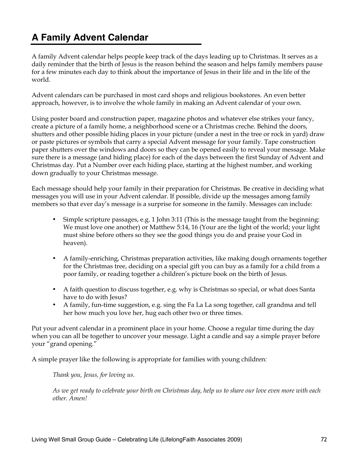## **A Family Advent Calendar**

A family Advent calendar helps people keep track of the days leading up to Christmas. It serves as a daily reminder that the birth of Jesus is the reason behind the season and helps family members pause for a few minutes each day to think about the importance of Jesus in their life and in the life of the world.

Advent calendars can be purchased in most card shops and religious bookstores. An even better approach, however, is to involve the whole family in making an Advent calendar of your own.

Using poster board and construction paper, magazine photos and whatever else strikes your fancy, create a picture of a family home, a neighborhood scene or a Christmas creche. Behind the doors, shutters and other possible hiding places in your picture (under a nest in the tree or rock in yard) draw or paste pictures or symbols that carry a special Advent message for your family. Tape construction paper shutters over the windows and doors so they can be opened easily to reveal your message. Make sure there is a message (and hiding place) for each of the days between the first Sunday of Advent and Christmas day. Put a Number over each hiding place, starting at the highest number, and working down gradually to your Christmas message.

Each message should help your family in their preparation for Christmas. Be creative in deciding what messages you will use in your Advent calendar. If possible, divide up the messages among family members so that ever day's message is a surprise for someone in the family. Messages can include:

- Simple scripture passages, e.g. 1 John 3:11 (This is the message taught from the beginning: We must love one another) or Matthew 5:14, 16 (Your are the light of the world; your light must shine before others so they see the good things you do and praise your God in heaven).
- A family-enriching, Christmas preparation activities, like making dough ornaments together for the Christmas tree, deciding on a special gift you can buy as a family for a child from a poor family, or reading together a children's picture book on the birth of Jesus.
- A faith question to discuss together, e.g. why is Christmas so special, or what does Santa have to do with Jesus?
- A family, fun-time suggestion, e.g. sing the Fa La La song together, call grandma and tell her how much you love her, hug each other two or three times.

Put your advent calendar in a prominent place in your home. Choose a regular time during the day when you can all be together to uncover your message. Light a candle and say a simple prayer before your "grand opening."

A simple prayer like the following is appropriate for families with young children:

*Thank you, Jesus, for loving us.* 

*As we get ready to celebrate your birth on Christmas day, help us to share our love even more with each other. Amen!*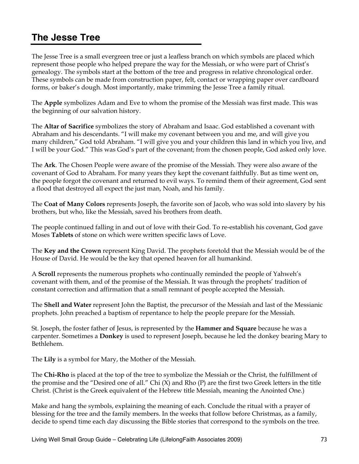# **The Jesse Tree**

The Jesse Tree is a small evergreen tree or just a leafless branch on which symbols are placed which represent those people who helped prepare the way for the Messiah, or who were part of Christ's genealogy. The symbols start at the bottom of the tree and progress in relative chronological order. These symbols can be made from construction paper, felt, contact or wrapping paper over cardboard forms, or baker's dough. Most importantly, make trimming the Jesse Tree a family ritual.

The **Apple** symbolizes Adam and Eve to whom the promise of the Messiah was first made. This was the beginning of our salvation history.

The **Altar of Sacrifice** symbolizes the story of Abraham and Isaac. God established a covenant with Abraham and his descendants. "I will make my covenant between you and me, and will give you many children," God told Abraham. "I will give you and your children this land in which you live, and I will be your God." This was God's part of the covenant; from the chosen people, God asked only love.

The **Ark**. The Chosen People were aware of the promise of the Messiah. They were also aware of the covenant of God to Abraham. For many years they kept the covenant faithfully. But as time went on, the people forgot the covenant and returned to evil ways. To remind them of their agreement, God sent a flood that destroyed all expect the just man, Noah, and his family.

The **Coat of Many Colors** represents Joseph, the favorite son of Jacob, who was sold into slavery by his brothers, but who, like the Messiah, saved his brothers from death.

The people continued falling in and out of love with their God. To re-establish his covenant, God gave Moses **Tablets** of stone on which were written specific laws of Love.

The **Key and the Crown** represent King David. The prophets foretold that the Messiah would be of the House of David. He would be the key that opened heaven for all humankind.

A **Scroll** represents the numerous prophets who continually reminded the people of Yahweh's covenant with them, and of the promise of the Messiah. It was through the prophets' tradition of constant correction and affirmation that a small remnant of people accepted the Messiah.

The **Shell and Water** represent John the Baptist, the precursor of the Messiah and last of the Messianic prophets. John preached a baptism of repentance to help the people prepare for the Messiah.

St. Joseph, the foster father of Jesus, is represented by the **Hammer and Square** because he was a carpenter. Sometimes a **Donkey** is used to represent Joseph, because he led the donkey bearing Mary to Bethlehem.

The **Lily** is a symbol for Mary, the Mother of the Messiah.

The **Chi-Rho** is placed at the top of the tree to symbolize the Messiah or the Christ, the fulfillment of the promise and the "Desired one of all." Chi  $(X)$  and Rho  $(P)$  are the first two Greek letters in the title Christ. (Christ is the Greek equivalent of the Hebrew title Messiah, meaning the Anointed One.)

Make and hang the symbols, explaining the meaning of each. Conclude the ritual with a prayer of blessing for the tree and the family members. In the weeks that follow before Christmas, as a family, decide to spend time each day discussing the Bible stories that correspond to the symbols on the tree.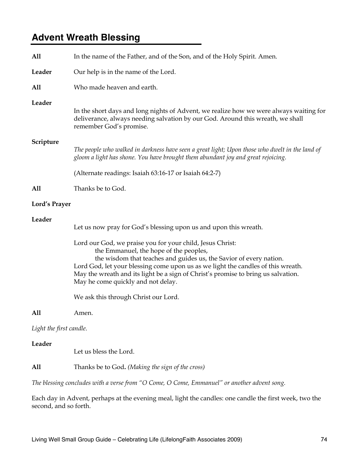# **Advent Wreath Blessing**

| All                     | In the name of the Father, and of the Son, and of the Holy Spirit. Amen.                                                                                                                                                                                                                                                                                                                                                                                                                             |
|-------------------------|------------------------------------------------------------------------------------------------------------------------------------------------------------------------------------------------------------------------------------------------------------------------------------------------------------------------------------------------------------------------------------------------------------------------------------------------------------------------------------------------------|
| Leader                  | Our help is in the name of the Lord.                                                                                                                                                                                                                                                                                                                                                                                                                                                                 |
| All                     | Who made heaven and earth.                                                                                                                                                                                                                                                                                                                                                                                                                                                                           |
| Leader                  | In the short days and long nights of Advent, we realize how we were always waiting for<br>deliverance, always needing salvation by our God. Around this wreath, we shall<br>remember God's promise.                                                                                                                                                                                                                                                                                                  |
| Scripture               | The people who walked in darkness have seen a great light; Upon those who dwelt in the land of<br>gloom a light has shone. You have brought them abundant joy and great rejoicing.                                                                                                                                                                                                                                                                                                                   |
|                         | (Alternate readings: Isaiah 63:16-17 or Isaiah 64:2-7)                                                                                                                                                                                                                                                                                                                                                                                                                                               |
| All                     | Thanks be to God.                                                                                                                                                                                                                                                                                                                                                                                                                                                                                    |
| Lord's Prayer           |                                                                                                                                                                                                                                                                                                                                                                                                                                                                                                      |
| Leader                  | Let us now pray for God's blessing upon us and upon this wreath.<br>Lord our God, we praise you for your child, Jesus Christ:<br>the Emmanuel, the hope of the peoples,<br>the wisdom that teaches and guides us, the Savior of every nation.<br>Lord God, let your blessing come upon us as we light the candles of this wreath.<br>May the wreath and its light be a sign of Christ's promise to bring us salvation.<br>May he come quickly and not delay.<br>We ask this through Christ our Lord. |
| All                     | Amen.                                                                                                                                                                                                                                                                                                                                                                                                                                                                                                |
| Light the first candle. |                                                                                                                                                                                                                                                                                                                                                                                                                                                                                                      |
| Leader                  | Let us bless the Lord.                                                                                                                                                                                                                                                                                                                                                                                                                                                                               |
| All                     | Thanks be to God. (Making the sign of the cross)                                                                                                                                                                                                                                                                                                                                                                                                                                                     |
|                         | The blessing concludes with a verse from "O Come, O Come, Emmanuel" or another advent song.                                                                                                                                                                                                                                                                                                                                                                                                          |
|                         | Each day in Advent, perhaps at the evening meal, light the candles: one candle the first week, two the                                                                                                                                                                                                                                                                                                                                                                                               |

second, and so forth.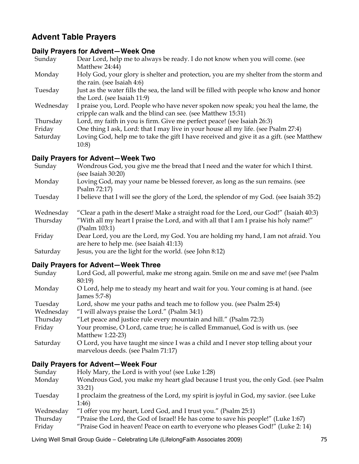# **Advent Table Prayers**

# **Daily Prayers for Advent—Week One**

| Sunday    | Dear Lord, help me to always be ready. I do not know when you will come. (see            |
|-----------|------------------------------------------------------------------------------------------|
|           | Matthew 24:44)                                                                           |
| Monday    | Holy God, your glory is shelter and protection, you are my shelter from the storm and    |
|           | the rain. (see Isaiah 4:6)                                                               |
| Tuesday   | Just as the water fills the sea, the land will be filled with people who know and honor  |
|           | the Lord. (see Isaiah 11:9)                                                              |
| Wednesday | I praise you, Lord. People who have never spoken now speak; you heal the lame, the       |
|           | cripple can walk and the blind can see. (see Matthew 15:31)                              |
| Thursday  | Lord, my faith in you is firm. Give me perfect peace! (see Isaiah 26:3)                  |
| Friday    | One thing I ask, Lord: that I may live in your house all my life. (see Psalm 27:4)       |
| Saturday  | Loving God, help me to take the gift I have received and give it as a gift. (see Matthew |
|           | 10:8                                                                                     |

## **Daily Prayers for Advent—Week Two**

| Sunday                | Wondrous God, you give me the bread that I need and the water for which I thirst.<br>(see Isaiah 30:20)                                                                                           |
|-----------------------|---------------------------------------------------------------------------------------------------------------------------------------------------------------------------------------------------|
| Monday                | Loving God, may your name be blessed forever, as long as the sun remains. (see<br>Psalm 72:17)                                                                                                    |
| Tuesday               | I believe that I will see the glory of the Lord, the splendor of my God. (see Isaiah 35:2)                                                                                                        |
| Wednesday<br>Thursday | "Clear a path in the desert! Make a straight road for the Lord, our God!" (Isaiah 40:3)<br>"With all my heart I praise the Lord, and with all that I am I praise his holy name!"<br>(Psalm 103:1) |
| Friday                | Dear Lord, you are the Lord, my God. You are holding my hand, I am not afraid. You<br>are here to help me. (see Isaiah 41:13)                                                                     |
| Saturday              | Jesus, you are the light for the world. (see John 8:12)                                                                                                                                           |

# **Daily Prayers for Advent—Week Three**

| Sunday    | Lord God, all powerful, make me strong again. Smile on me and save me! (see Psalm  |
|-----------|------------------------------------------------------------------------------------|
|           | 80:19                                                                              |
| Monday    | O Lord, help me to steady my heart and wait for you. Your coming is at hand. (see  |
|           | James 5:7-8)                                                                       |
| Tuesday   | Lord, show me your paths and teach me to follow you. (see Psalm 25:4)              |
| Wednesday | "I will always praise the Lord." (Psalm 34:1)                                      |
| Thursday  | "Let peace and justice rule every mountain and hill." (Psalm 72:3)                 |
| Friday    | Your promise, O Lord, came true; he is called Emmanuel, God is with us. (see       |
|           | Matthew 1:22-23)                                                                   |
| Saturday  | O Lord, you have taught me since I was a child and I never stop telling about your |
|           | marvelous deeds. (see Psalm 71:17)                                                 |
|           |                                                                                    |

# **Daily Prayers for Advent—Week Four**

| Sunday    | Holy Mary, the Lord is with you! (see Luke 1:28)                                       |
|-----------|----------------------------------------------------------------------------------------|
| Monday    | Wondrous God, you make my heart glad because I trust you, the only God. (see Psalm     |
|           | 33:21)                                                                                 |
| Tuesday   | I proclaim the greatness of the Lord, my spirit is joyful in God, my savior. (see Luke |
|           | 1:46                                                                                   |
| Wednesday | "I offer you my heart, Lord God, and I trust you." (Psalm 25:1)                        |
| Thursday  | "Praise the Lord, the God of Israel! He has come to save his people!" (Luke 1:67)      |
| Friday    | "Praise God in heaven! Peace on earth to everyone who pleases God!" (Luke 2: 14)       |

Living Well Small Group Guide – Celebrating Life (LifelongFaith Associates 2009) 75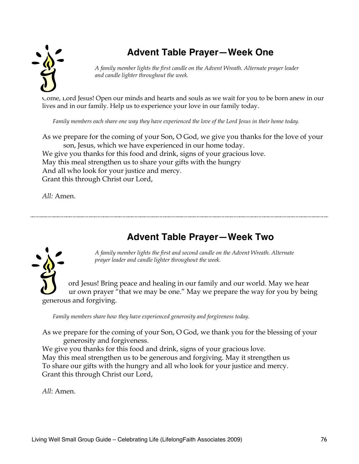

# **Advent Table Prayer—Week One**

*A family member lights the first candle on the Advent Wreath. Alternate prayer leader and candle lighter throughout the week.*

Come, Lord Jesus! Open our minds and hearts and souls as we wait for you to be born anew in our lives and in our family. Help us to experience your love in our family today.

*Family members each share one way they have experienced the love of the Lord Jesus in their home today.*

As we prepare for the coming of your Son, O God, we give you thanks for the love of your son, Jesus, which we have experienced in our home today. We give you thanks for this food and drink, signs of your gracious love. May this meal strengthen us to share your gifts with the hungry And all who look for your justice and mercy. Grant this through Christ our Lord,

*All:* Amen.

# **Advent Table Prayer—Week Two**



*A family member lights the first and second candle on the Advent Wreath. Alternate prayer leader and candle lighter throughout the week.*

ord Jesus! Bring peace and healing in our family and our world. May we hear again your own prayer "that we may be one." May we prepare the way for you by being generous and forgiving.

*Family members share how they have experienced generosity and forgiveness today.*

As we prepare for the coming of your Son, O God, we thank you for the blessing of your generosity and forgiveness.

We give you thanks for this food and drink, signs of your gracious love. May this meal strengthen us to be generous and forgiving. May it strengthen us To share our gifts with the hungry and all who look for your justice and mercy. Grant this through Christ our Lord,

*All*: Amen.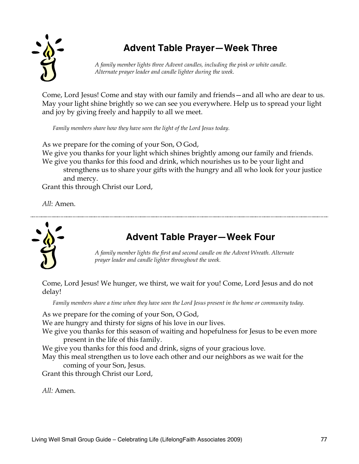

# **Advent Table Prayer—Week Three**

*A family member lights three Advent candles, including the pink or white candle. Alternate prayer leader and candle lighter during the week.*

Come, Lord Jesus! Come and stay with our family and friends—and all who are dear to us. May your light shine brightly so we can see you everywhere. Help us to spread your light and joy by giving freely and happily to all we meet.

*Family members share how they have seen the light of the Lord Jesus today.*

As we prepare for the coming of your Son, O God,

We give you thanks for your light which shines brightly among our family and friends. We give you thanks for this food and drink, which nourishes us to be your light and strengthens us to share your gifts with the hungry and all who look for your justice

and mercy.

Grant this through Christ our Lord,

*All*: Amen.



# **Advent Table Prayer—Week Four**

*A family member lights the first and second candle on the Advent Wreath. Alternate prayer leader and candle lighter throughout the week.*

Come, Lord Jesus! We hunger, we thirst, we wait for you! Come, Lord Jesus and do not delay!

*Family members share a time when they have seen the Lord Jesus present in the home or community today.*

As we prepare for the coming of your Son, O God,

We are hungry and thirsty for signs of his love in our lives.

We give you thanks for this season of waiting and hopefulness for Jesus to be even more present in the life of this family.

We give you thanks for this food and drink, signs of your gracious love.

May this meal strengthen us to love each other and our neighbors as we wait for the coming of your Son, Jesus.

Grant this through Christ our Lord,

*All:* Amen.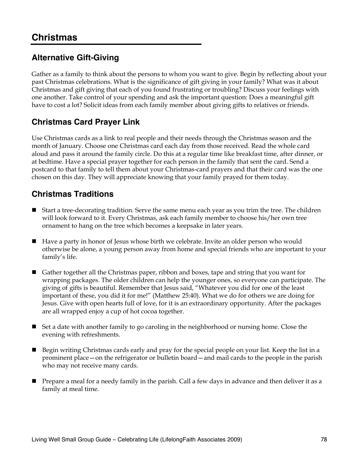# **Alternative Gift-Giving**

Gather as a family to think about the persons to whom you want to give. Begin by reflecting about your past Christmas celebrations. What is the significance of gift giving in your family? What was it about Christmas and gift giving that each of you found frustrating or troubling? Discuss your feelings with one another. Take control of your spending and ask the important question: Does a meaningful gift have to cost a lot? Solicit ideas from each family member about giving gifts to relatives or friends.

# **Christmas Card Prayer Link**

Use Christmas cards as a link to real people and their needs through the Christmas season and the month of January. Choose one Christmas card each day from those received. Read the whole card aloud and pass it around the family circle. Do this at a regular time like breakfast time, after dinner, or at bedtime. Have a special prayer together for each person in the family that sent the card. Send a postcard to that family to tell them about your Christmas-card prayers and that their card was the one chosen on this day. They will appreciate knowing that your family prayed for them today.

# **Christmas Traditions**

- Start a tree-decorating tradition. Serve the same menu each year as you trim the tree. The children will look forward to it. Every Christmas, ask each family member to choose his/her own tree ornament to hang on the tree which becomes a keepsake in later years.
- Have a party in honor of Jesus whose birth we celebrate. Invite an older person who would otherwise be alone, a young person away from home and special friends who are important to your family's life.
- Gather together all the Christmas paper, ribbon and boxes, tape and string that you want for wrapping packages. The older children can help the younger ones, so everyone can participate. The giving of gifts is beautiful. Remember that Jesus said, "Whatever you did for one of the least important of these, you did it for me!" (Matthew 25:40). What we do for others we are doing for Jesus. Give with open hearts full of love, for it is an extraordinary opportunity. After the packages are all wrapped enjoy a cup of hot cocoa together.
- Set a date with another family to go caroling in the neighborhood or nursing home. Close the evening with refreshments.
- Begin writing Christmas cards early and pray for the special people on your list. Keep the list in a prominent place—on the refrigerator or bulletin board—and mail cards to the people in the parish who may not receive many cards.
- **Prepare a meal for a needy family in the parish. Call a few days in advance and then deliver it as a** family at meal time.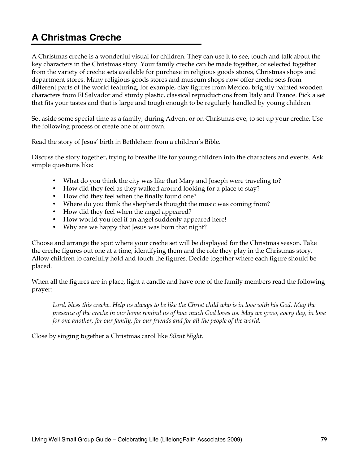# **A Christmas Creche**

A Christmas creche is a wonderful visual for children. They can use it to see, touch and talk about the key characters in the Christmas story. Your family creche can be made together, or selected together from the variety of creche sets available for purchase in religious goods stores, Christmas shops and department stores. Many religious goods stores and museum shops now offer creche sets from different parts of the world featuring, for example, clay figures from Mexico, brightly painted wooden characters from El Salvador and sturdy plastic, classical reproductions from Italy and France. Pick a set that fits your tastes and that is large and tough enough to be regularly handled by young children.

Set aside some special time as a family, during Advent or on Christmas eve, to set up your creche. Use the following process or create one of our own.

Read the story of Jesus' birth in Bethlehem from a children's Bible.

Discuss the story together, trying to breathe life for young children into the characters and events. Ask simple questions like:

- What do you think the city was like that Mary and Joseph were traveling to?
- How did they feel as they walked around looking for a place to stay?
- How did they feel when the finally found one?
- Where do you think the shepherds thought the music was coming from?
- How did they feel when the angel appeared?
- How would you feel if an angel suddenly appeared here!
- Why are we happy that Jesus was born that night?

Choose and arrange the spot where your creche set will be displayed for the Christmas season. Take the creche figures out one at a time, identifying them and the role they play in the Christmas story. Allow children to carefully hold and touch the figures. Decide together where each figure should be placed.

When all the figures are in place, light a candle and have one of the family members read the following prayer:

Lord, bless this creche. Help us always to be like the Christ child who is in love with his God. May the *presence of the creche in our home remind us of how much God loves us. May we grow, every day, in love for one another, for our family, for our friends and for all the people of the world.*

Close by singing together a Christmas carol like *Silent Night*.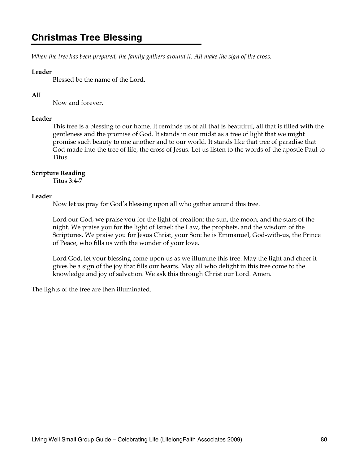# **Christmas Tree Blessing**

*When the tree has been prepared, the family gathers around it. All make the sign of the cross.*

#### **Leader**

Blessed be the name of the Lord.

## **All**

Now and forever.

## **Leader**

This tree is a blessing to our home. It reminds us of all that is beautiful, all that is filled with the gentleness and the promise of God. It stands in our midst as a tree of light that we might promise such beauty to one another and to our world. It stands like that tree of paradise that God made into the tree of life, the cross of Jesus. Let us listen to the words of the apostle Paul to Titus.

## **Scripture Reading**

Titus 3:4-7

## **Leader**

Now let us pray for God's blessing upon all who gather around this tree.

Lord our God, we praise you for the light of creation: the sun, the moon, and the stars of the night. We praise you for the light of Israel: the Law, the prophets, and the wisdom of the Scriptures. We praise you for Jesus Christ, your Son: he is Emmanuel, God-with-us, the Prince of Peace, who fills us with the wonder of your love.

Lord God, let your blessing come upon us as we illumine this tree. May the light and cheer it gives be a sign of the joy that fills our hearts. May all who delight in this tree come to the knowledge and joy of salvation. We ask this through Christ our Lord. Amen.

The lights of the tree are then illuminated.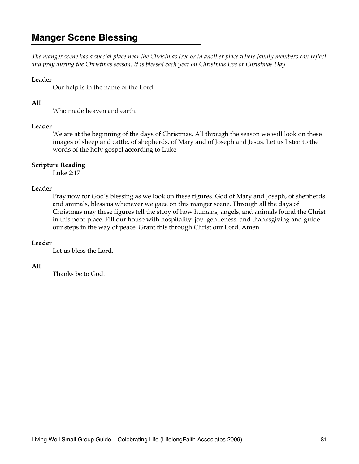# **Manger Scene Blessing**

*The manger scene has a special place near the Christmas tree or in another place where family members can reflect and pray during the Christmas season. It is blessed each year on Christmas Eve or Christmas Day.*

#### **Leader**

Our help is in the name of the Lord.

## **All**

Who made heaven and earth.

#### **Leader**

We are at the beginning of the days of Christmas. All through the season we will look on these images of sheep and cattle, of shepherds, of Mary and of Joseph and Jesus. Let us listen to the words of the holy gospel according to Luke

#### **Scripture Reading**

Luke 2:17

#### **Leader**

Pray now for God's blessing as we look on these figures. God of Mary and Joseph, of shepherds and animals, bless us whenever we gaze on this manger scene. Through all the days of Christmas may these figures tell the story of how humans, angels, and animals found the Christ in this poor place. Fill our house with hospitality, joy, gentleness, and thanksgiving and guide our steps in the way of peace. Grant this through Christ our Lord. Amen.

#### **Leader**

Let us bless the Lord.

#### **All**

Thanks be to God.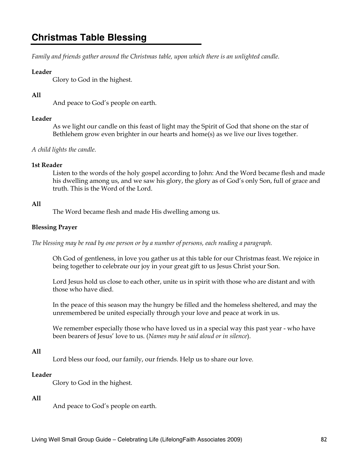# **Christmas Table Blessing**

*Family and friends gather around the Christmas table, upon which there is an unlighted candle.* 

#### **Leader**

Glory to God in the highest.

## **All**

And peace to God's people on earth.

#### **Leader**

As we light our candle on this feast of light may the Spirit of God that shone on the star of Bethlehem grow even brighter in our hearts and home(s) as we live our lives together.

## *A child lights the candle.*

## **1st Reader**

Listen to the words of the holy gospel according to John: And the Word became flesh and made his dwelling among us, and we saw his glory, the glory as of God's only Son, full of grace and truth. This is the Word of the Lord.

## **All**

The Word became flesh and made His dwelling among us.

## **Blessing Prayer**

*The blessing may be read by one person or by a number of persons, each reading a paragraph.*

Oh God of gentleness, in love you gather us at this table for our Christmas feast. We rejoice in being together to celebrate our joy in your great gift to us Jesus Christ your Son.

Lord Jesus hold us close to each other, unite us in spirit with those who are distant and with those who have died.

In the peace of this season may the hungry be filled and the homeless sheltered, and may the unremembered be united especially through your love and peace at work in us.

We remember especially those who have loved us in a special way this past year - who have been bearers of Jesus' love to us. (*Names may be said aloud or in silence*).

## **All**

Lord bless our food, our family, our friends. Help us to share our love.

## **Leader**

Glory to God in the highest.

#### **All**

And peace to God's people on earth.